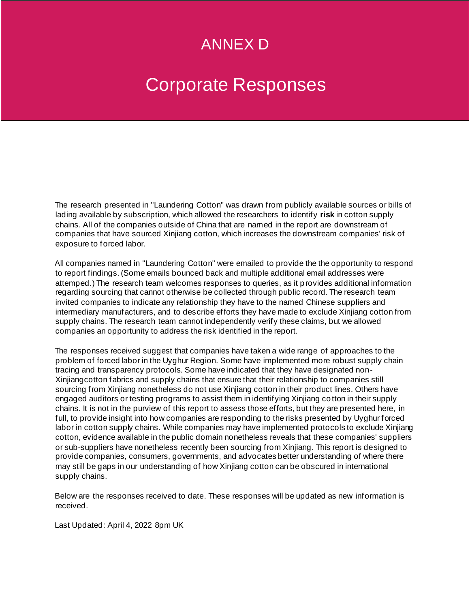# ANNEX D

# Corporate Responses

The research presented in "Laundering Cotton" was drawn from publicly available sources or bills of lading available by subscription, which allowed the researchers to identify **risk** in cotton supply chains. All of the companies outside of China that are named in the report are downstream of companies that have sourced Xinjiang cotton, which increases the downstream companies' risk of exposure to forced labor.

All companies named in "Laundering Cotton" were emailed to provide the the opportunity to respond to report findings. (Some emails bounced back and multiple additional email addresses were attemped.) The research team welcomes responses to queries, as it p rovides additional information regarding sourcing that cannot otherwise be collected through public record. The research team invited companies to indicate any relationship they have to the named Chinese suppliers and intermediary manufacturers, and to describe efforts they have made to exclude Xinjiang cotton from supply chains. The research team cannot independently verify these claims, but we allowed companies an opportunity to address the risk identified in the report.

The responses received suggest that companies have taken a wide range of approaches to the problem of forced labor in the Uyghur Region. Some have implemented more robust supply chain tracing and transparency protocols. Some have indicated that they have designated non-Xinjiangcotton fabrics and supply chains that ensure that their relationship to companies still sourcing from Xinjiang nonetheless do not use Xinjiang cotton in their product lines. Others have engaged auditors or testing programs to assist them in identifying Xinjiang co tton in their supply chains. It is not in the purview of this report to assess those efforts, but they are presented here, in full, to provide insight into how companies are responding to the risks presented by Uyghur forced labor in cotton supply chains. While companies may have implemented protocols to exclude Xinjiang cotton, evidence available in the public domain nonetheless reveals that these companies' suppliers or sub-suppliers have nonetheless recently been sourcing from Xinjiang. This report is designed to provide companies, consumers, governments, and advocates better understanding of where there may still be gaps in our understanding of how Xinjiang cotton can be obscured in international supply chains.

Below are the responses received to date. These responses will be updated as new information is received.

Last Updated: April 4, 2022 8pm UK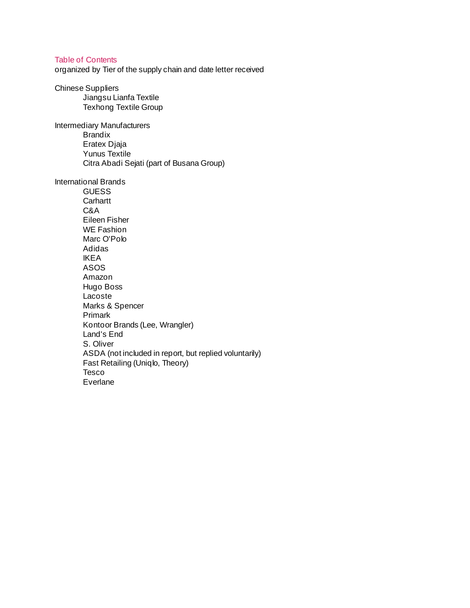# Table of Contents

organized by Tier of the supply chain and date letter received

# Chinese Suppliers

Jiangsu Lianfa Textile Texhong Textile Group

Intermediary Manufacturers Brandix Eratex Djaja Yunus Textile Citra Abadi Sejati (part of Busana Group)

#### International Brands

**GUESS Carhartt** C&A Eileen Fisher WE Fashion Marc O'Polo Adidas IKEA ASOS Amazon Hugo Boss Lacoste Marks & Spencer Primark Kontoor Brands (Lee, Wrangler) Land's End S. Oliver ASDA (not included in report, but replied voluntarily) Fast Retailing (Uniqlo, Theory) Tesco Everlane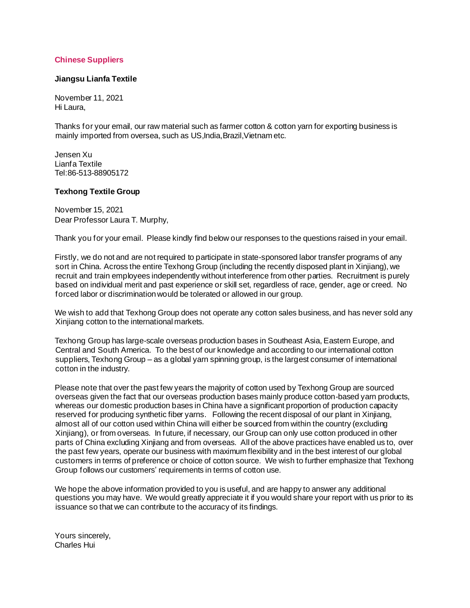# **Chinese Suppliers**

# **Jiangsu Lianfa Textile**

November 11, 2021 Hi Laura,

Thanks for your email, our raw material such as farmer cotton & cotton yarn for exporting business is mainly imported from oversea, such as US, India, Brazil, Vietnam etc.

Jensen Xu Lianfa Textile Tel:86-513-88905172

#### **Texhong Textile Group**

November 15, 2021 Dear Professor Laura T. Murphy,

Thank you for your email. Please kindly find below our responses to the questions raised in your email.

Firstly, we do not and are not required to participate in state-sponsored labor transfer programs of any sort in China. Across the entire Texhong Group (including the recently disposed plant in Xinjiang), we recruit and train employees independently without interference from other parties. Recruitment is purely based on individual merit and past experience or skill set, regardless of race, gender, age or creed. No forced labor or discrimination would be tolerated or allowed in our group.

We wish to add that Texhong Group does not operate any cotton sales business, and has never sold any Xinjiang cotton to the international markets.

Texhong Group has large-scale overseas production bases in Southeast Asia, Eastern Europe, and Central and South America. To the best of our knowledge and according to our international cotton suppliers, Texhong Group – as a global yarn spinning group, is the largest consumer of international cotton in the industry.

Please note that over the past few years the majority of cotton used by Texhong Group are sourced overseas given the fact that our overseas production bases mainly produce cotton-based yarn products, whereas our domestic production bases in China have a significant proportion of production capacity reserved for producing synthetic fiber yarns. Following the recent disposal of our plant in Xinjiang, almost all of our cotton used within China will either be sourced from within the country (excluding Xinjiang), or from overseas. In future, if necessary, our Group can only use cotton produced in other parts of China excluding Xinjiang and from overseas. All of the above practices have enabled us to, over the past few years, operate our business with maximum flexibility and in the best interest of our global customers in terms of preference or choice of cotton source. We wish to further emphasize that Texhong Group follows our customers' requirements in terms of cotton use.

We hope the above information provided to you is useful, and are happy to answer any additional questions you may have. We would greatly appreciate it if you would share your report with us prior to its issuance so that we can contribute to the accuracy of its findings.

Yours sincerely, Charles Hui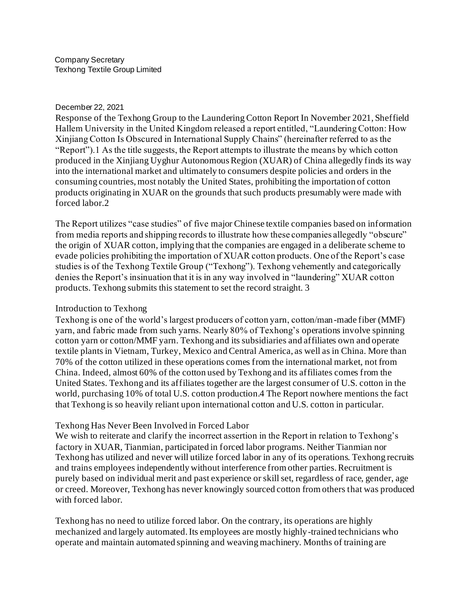# December 22, 2021

Response of the Texhong Group to the Laundering Cotton Report In November 2021, Sheffield Hallem University in the United Kingdom released a report entitled, "Laundering Cotton: How Xinjiang Cotton Is Obscured in International Supply Chains" (hereinafter referred to as the "Report").1 As the title suggests, the Report attempts to illustrate the means by which cotton produced in the Xinjiang Uyghur Autonomous Region (XUAR) of China allegedly finds its way into the international market and ultimately to consumers despite policies and orders in the consuming countries, most notably the United States, prohibiting the importation of cotton products originating in XUAR on the grounds that such products presumably were made with forced labor.2

The Report utilizes "case studies" of five major Chinese textile companies based on information from media reports and shipping records to illustrate how these companies allegedly "obscure" the origin of XUAR cotton, implying that the companies are engaged in a deliberate scheme to evade policies prohibiting the importation of XUAR cotton products. One of the Report's case studies is of the Texhong Textile Group ("Texhong"). Texhong vehemently and categorically denies the Report's insinuation that it is in any way involved in "laundering" XUAR cotton products. Texhong submits this statement to set the record straight. 3

# Introduction to Texhong

Texhong is one of the world's largest producers of cotton yarn, cotton/man-made fiber (MMF) yarn, and fabric made from such yarns. Nearly 80% of Texhong's operations involve spinning cotton yarn or cotton/MMF yarn. Texhong and its subsidiaries and affiliates own and operate textile plants in Vietnam, Turkey, Mexico and Central America, as well as in China. More than 70% of the cotton utilized in these operations comes from the international market, not from China. Indeed, almost 60% of the cotton used by Texhong and its affiliates comes from the United States. Texhong and its affiliates together are the largest consumer of U.S. cotton in the world, purchasing 10% of total U.S. cotton production.4 The Report nowhere mentions the fact that Texhong is so heavily reliant upon international cotton and U.S. cotton in particular.

# Texhong Has Never Been Involved in Forced Labor

We wish to reiterate and clarify the incorrect assertion in the Report in relation to Texhong's factory in XUAR, Tianmian, participated in forced labor programs. Neither Tianmian nor Texhong has utilized and never will utilize forced labor in any of its operations. Texhong recruits and trains employees independently without interference from other parties. Recruitment is purely based on individual merit and past experience or skill set, regardless of race, gender, age or creed. Moreover, Texhong has never knowingly sourced cotton from others that was produced with forced labor.

Texhong has no need to utilize forced labor. On the contrary, its operations are highly mechanized and largely automated. Its employees are mostly highly-trained technicians who operate and maintain automated spinning and weaving machinery. Months of training are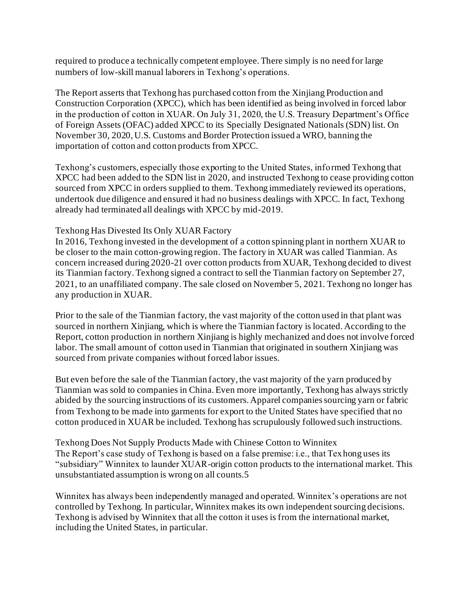required to produce a technically competent employee. There simply is no need for large numbers of low-skill manual laborers in Texhong's operations.

The Report asserts that Texhong has purchased cotton from the Xinjiang Production and Construction Corporation (XPCC), which has been identified as being involved in forced labor in the production of cotton in XUAR. On July 31, 2020, the U.S. Treasury Department's Office of Foreign Assets (OFAC) added XPCC to its Specially Designated Nationals (SDN) list. On November 30, 2020, U.S. Customs and Border Protection issued a WRO, banning the importation of cotton and cotton products from XPCC.

Texhong's customers, especially those exporting to the United States, informed Texhong that XPCC had been added to the SDN list in 2020, and instructed Texhong to cease providing cotton sourced from XPCC in orders supplied to them. Texhong immediately reviewed its operations, undertook due diligence and ensured it had no business dealings with XPCC. In fact, Texhong already had terminated all dealings with XPCC by mid-2019.

# Texhong Has Divested Its Only XUAR Factory

In 2016, Texhong invested in the development of a cotton spinning plant in northern XUAR to be closer to the main cotton-growing region. The factory in XUAR was called Tianmian. As concern increased during 2020-21 over cotton products from XUAR, Texhong decided to divest its Tianmian factory. Texhong signed a contract to sell the Tianmian factory on September 27, 2021, to an unaffiliated company. The sale closed on November 5, 2021. Texhong no longer has any production in XUAR.

Prior to the sale of the Tianmian factory, the vast majority of the cotton used in that plant was sourced in northern Xinjiang, which is where the Tianmian factory is located. According to the Report, cotton production in northern Xinjiang is highly mechanized and does not involve forced labor. The small amount of cotton used in Tianmian that originated in southern Xinjiang was sourced from private companies without forced labor issues.

But even before the sale of the Tianmian factory, the vast majority of the yarn produced by Tianmian was sold to companies in China. Even more importantly, Texhong has always strictly abided by the sourcing instructions of its customers. Apparel companies sourcing yarn or fabric from Texhong to be made into garments for export to the United States have specified that no cotton produced in XUAR be included. Texhong has scrupulously followed such instructions.

Texhong Does Not Supply Products Made with Chinese Cotton to Winnitex The Report's case study of Texhong is based on a false premise: i.e., that Texhong uses its "subsidiary" Winnitex to launder XUAR-origin cotton products to the international market. This unsubstantiated assumption is wrong on all counts.5

Winnitex has always been independently managed and operated. Winnitex's operations are not controlled by Texhong. In particular, Winnitex makes its own independent sourcing decisions. Texhong is advised by Winnitex that all the cotton it uses is from the international market, including the United States, in particular.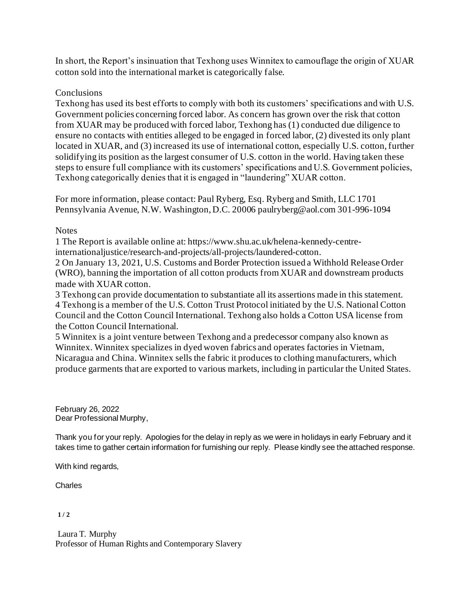In short, the Report's insinuation that Texhong uses Winnitex to camouflage the origin of XUAR cotton sold into the international market is categorically false.

# **Conclusions**

Texhong has used its best efforts to comply with both its customers' specifications and with U.S. Government policies concerning forced labor. As concern has grown over the risk that cotton from XUAR may be produced with forced labor, Texhong has (1) conducted due diligence to ensure no contacts with entities alleged to be engaged in forced labor, (2) divested its only plant located in XUAR, and (3) increased its use of international cotton, especially U.S. cotton, further solidifying its position as the largest consumer of U.S. cotton in the world. Having taken these steps to ensure full compliance with its customers' specifications and U.S. Government policies, Texhong categorically denies that it is engaged in "laundering" XUAR cotton.

For more information, please contact: Paul Ryberg, Esq. Ryberg and Smith, LLC 1701 Pennsylvania Avenue, N.W. Washington, D.C. 20006 paulryberg@aol.com 301-996-1094

# **Notes**

1 The Report is available online at: https://www.shu.ac.uk/helena-kennedy-centre-

internationaljustice/research-and-projects/all-projects/laundered-cotton.

2 On January 13, 2021, U.S. Customs and Border Protection issued a Withhold Release Order (WRO), banning the importation of all cotton products from XUAR and downstream products made with XUAR cotton.

3 Texhong can provide documentation to substantiate all its assertions made in this statement. 4 Texhong is a member of the U.S. Cotton Trust Protocol initiated by the U.S. National Cotton Council and the Cotton Council International. Texhong also holds a Cotton USA license from the Cotton Council International.

5 Winnitex is a joint venture between Texhong and a predecessor company also known as Winnitex. Winnitex specializes in dyed woven fabrics and operates factories in Vietnam, Nicaragua and China. Winnitex sells the fabric it produces to clothing manufacturers, which produce garments that are exported to various markets, including in particular the United States.

February 26, 2022 Dear Professional Murphy,

Thank you for your reply. Apologies for the delay in reply as we were in holidays in early February and it takes time to gather certain information for furnishing our reply. Please kindly see the attached response.

With kind regards,

Charles

**1 / 2** 

Laura T. Murphy Professor of Human Rights and Contemporary Slavery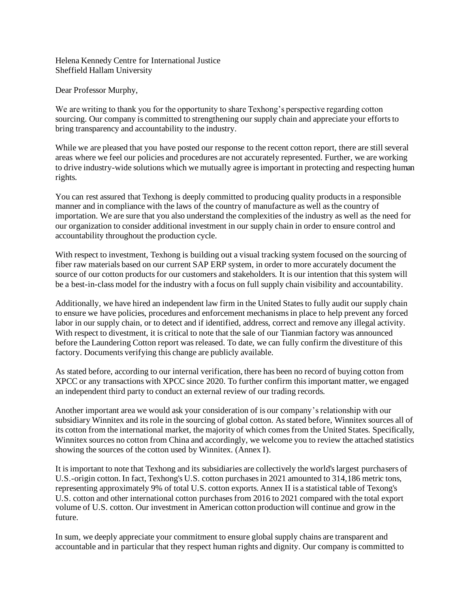Helena Kennedy Centre for International Justice Sheffield Hallam University

Dear Professor Murphy,

We are writing to thank you for the opportunity to share Texhong's perspective regarding cotton sourcing. Our company is committed to strengthening our supply chain and appreciate your efforts to bring transparency and accountability to the industry.

While we are pleased that you have posted our response to the recent cotton report, there are still several areas where we feel our policies and procedures are not accurately represented. Further, we are working to drive industry-wide solutions which we mutually agree is important in protecting and respecting human rights.

You can rest assured that Texhong is deeply committed to producing quality products in a responsible manner and in compliance with the laws of the country of manufacture as well as the country of importation. We are sure that you also understand the complexities of the industry as well as the need for our organization to consider additional investment in our supply chain in order to ensure control and accountability throughout the production cycle.

With respect to investment, Texhong is building out a visual tracking system focused on the sourcing of fiber raw materials based on our current SAP ERP system, in order to more accurately document the source of our cotton products for our customers and stakeholders. It is our intention that this system will be a best-in-class model for the industry with a focus on full supply chain visibility and accountability.

Additionally, we have hired an independent law firm in the United States to fully audit our supply chain to ensure we have policies, procedures and enforcement mechanisms in place to help prevent any forced labor in our supply chain, or to detect and if identified, address, correct and remove any illegal activity. With respect to divestment, it is critical to note that the sale of our Tianmian factory was announced before the Laundering Cotton report was released. To date, we can fully confirm the divestiture of this factory. Documents verifying this change are publicly available.

As stated before, according to our internal verification, there has been no record of buying cotton from XPCC or any transactions with XPCC since 2020. To further confirm this important matter, we engaged an independent third party to conduct an external review of our trading records.

Another important area we would ask your consideration of is our company's relationship with our subsidiary Winnitex and its role in the sourcing of global cotton. As stated before, Winnitex sources all of its cotton from the international market, the majority of which comes from the United States. Specifically, Winnitex sources no cotton from China and accordingly, we welcome you to review the attached statistics showing the sources of the cotton used by Winnitex. (Annex I).

It is important to note that Texhong and its subsidiaries are collectively the world's largest purchasers of U.S.-origin cotton. In fact, Texhong's U.S. cotton purchases in 2021 amounted to 314,186 metric tons, representing approximately 9% of total U.S. cotton exports. Annex II is a statistical table of Texong's U.S. cotton and other international cotton purchases from 2016 to 2021 compared with the total export volume of U.S. cotton. Our investment in American cotton production will continue and grow in the future.

In sum, we deeply appreciate your commitment to ensure global supply chains are transparent and accountable and in particular that they respect human rights and dignity. Our company is committed to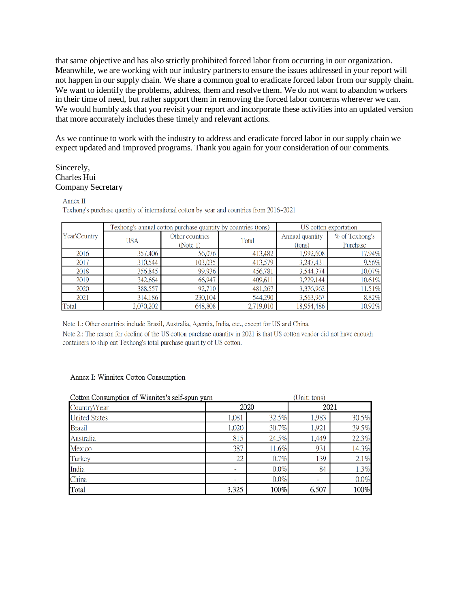that same objective and has also strictly prohibited forced labor from occurring in our organization. Meanwhile, we are working with our industry partners to ensure the issues addressed in your report will not happen in our supply chain. We share a common goal to eradicate forced labor from our supply chain. We want to identify the problems, address, them and resolve them. We do not want to abandon workers in their time of need, but rather support them in removing the forced labor concerns wherever we can. We would humbly ask that you revisit your report and incorporate these activities into an updated version that more accurately includes these timely and relevant actions.

As we continue to work with the industry to address and eradicate forced labor in our supply chain we expect updated and improved programs. Thank you again for your consideration of our comments.

#### Sincerely, Charles Hui Company Secretary

Annex II

Texhong's purchase quantity of international cotton by year and countries from 2016~2021

| Year\Country | Texhong's annual cotton purchase quantity by countries (tons) |                 |           | US cotton exportation |                |
|--------------|---------------------------------------------------------------|-----------------|-----------|-----------------------|----------------|
|              | <b>USA</b>                                                    | Other countries | Total     | Annual quantity       | % of Texhong's |
|              |                                                               | (Note 1)        |           | (tons)                | Purchase       |
| 2016         | 357,406                                                       | 56,076          | 413,482   | 1,992,608             | 17.94%         |
| 2017         | 310,544                                                       | 103,035         | 413,579   | 3,247,431             | 9.56%          |
| 2018         | 356,845                                                       | 99,936          | 456,781   | 3,544,374             | 10.07%         |
| 2019         | 342,664                                                       | 66,947          | 409,611   | 3,229,144             | 10.61%         |
| 2020         | 388,557                                                       | 92,710          | 481,267   | 3,376,962             | 11.51%         |
| 2021         | 314,186                                                       | 230,104         | 544,290   | 3,563,967             | 8.82%          |
| Total        | 2,070,202                                                     | 648,808         | 2,719,010 | 18,954,486            | 10.92%         |

Note 1.: Other countries include Brazil, Australia, Agentia, India, etc., except for US and China.

Note 2.: The reason for decline of the US cotton purchase quantity in 2021 is that US cotton vendor did not have enough containers to ship out Texhong's total purchase quantity of US cotton.

#### Annex I: Winnitex Cotton Consumption

| Cotton Consumption of Winnitex's self-spun yarn |       | (Unit: tons) |       |         |  |
|-------------------------------------------------|-------|--------------|-------|---------|--|
| Country\Year                                    |       | 2020         | 2021  |         |  |
| <b>United States</b>                            | 1,081 | 32.5%        | 1,983 | 30.5%   |  |
| <b>Brazil</b>                                   | 1,020 | 30.7%        | 1,921 | 29.5%   |  |
| Australia                                       | 815   | 24.5%        | 1,449 | 22.3%   |  |
| Mexico                                          | 387   | 11.6%        | 931   | 14.3%   |  |
| Turkey                                          | 22    | 0.7%         | 139   | 2.1%    |  |
| India                                           |       | 0.0%         | 84    | 1.3%    |  |
| China                                           |       | 0.0%         | -     | $0.0\%$ |  |
| Total                                           | 3,325 | 100%         | 6,507 | 100%    |  |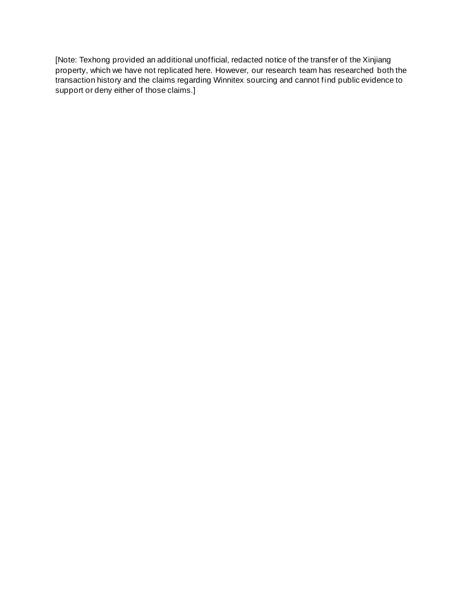[Note: Texhong provided an additional unofficial, redacted notice of the transfer of the Xinjiang property, which we have not replicated here. However, our research team has researched both the transaction history and the claims regarding Winnitex sourcing and cannot find public evidence to support or deny either of those claims.]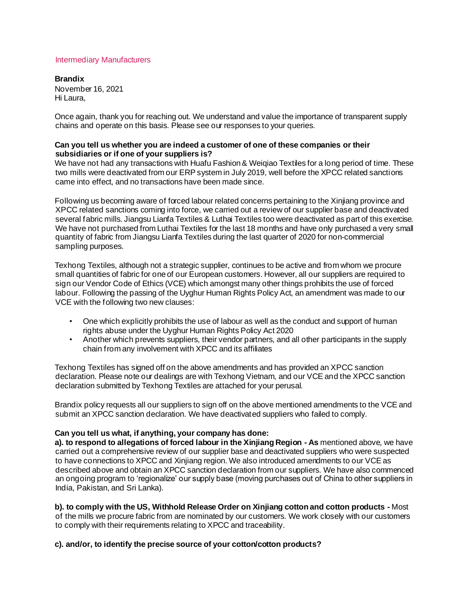#### Intermediary Manufacturers

**Brandix**  November 16, 2021 Hi Laura,

Once again, thank you for reaching out. We understand and value the importance of transparent supply chains and operate on this basis. Please see our responses to your queries.

#### **Can you tell us whether you are indeed a customer of one of these companies or their subsidiaries or if one of your suppliers is?**

We have not had any transactions with Huafu Fashion & Weiqiao Textiles for a long period of time. These two mills were deactivated from our ERP system in July 2019, well before the XPCC related sanctions came into effect, and no transactions have been made since.

Following us becoming aware of forced labour related concerns pertaining to the Xinjiang province and XPCC related sanctions coming into force, we carried out a review of our supplier base and deactivated several fabric mills. Jiangsu Lianfa Textiles & Luthai Textiles too were deactivated as part of this exercise. We have not purchased from Luthai Textiles for the last 18 months and have only purchased a very small quantity of fabric from Jiangsu Lianfa Textiles during the last quarter of 2020 for non-commercial sampling purposes.

Texhong Textiles, although not a strategic supplier, continues to be active and from whom we procure small quantities of fabric for one of our European customers. However, all our suppliers are required to sign our Vendor Code of Ethics (VCE) which amongst many other things prohibits the use of forced labour. Following the passing of the Uyghur Human Rights Policy Act, an amendment was made to our VCE with the following two new clauses:

- One which explicitly prohibits the use of labour as well as the conduct and support of human rights abuse under the Uyghur Human Rights Policy Act 2020
- Another which prevents suppliers, their vendor partners, and all other participants in the supply chain from any involvement with XPCC and its affiliates

Texhong Textiles has signed off on the above amendments and has provided an XPCC sanction declaration. Please note our dealings are with Texhong Vietnam, and our VCE and the XPCC sanction declaration submitted by Texhong Textiles are attached for your perusal.

Brandix policy requests all our suppliers to sign off on the above mentioned amendments to the VCE and submit an XPCC sanction declaration. We have deactivated suppliers who failed to comply.

#### **Can you tell us what, if anything, your company has done:**

**a). to respond to allegations of forced labour in the Xinjiang Region - As** mentioned above, we have carried out a comprehensive review of our supplier base and deactivated suppliers who were suspected to have connections to XPCC and Xinjiang region. We also introduced amendments to our VCE as described above and obtain an XPCC sanction declaration from our suppliers. We have also commenced an ongoing program to 'regionalize' our supply base (moving purchases out of China to other suppliers in India, Pakistan, and Sri Lanka).

**b). to comply with the US, Withhold Release Order on Xinjiang cotton and cotton products -** Most of the mills we procure fabric from are nominated by our customers. We work closely with our customers to comply with their requirements relating to XPCC and traceability.

# **c). and/or, to identify the precise source of your cotton/cotton products?**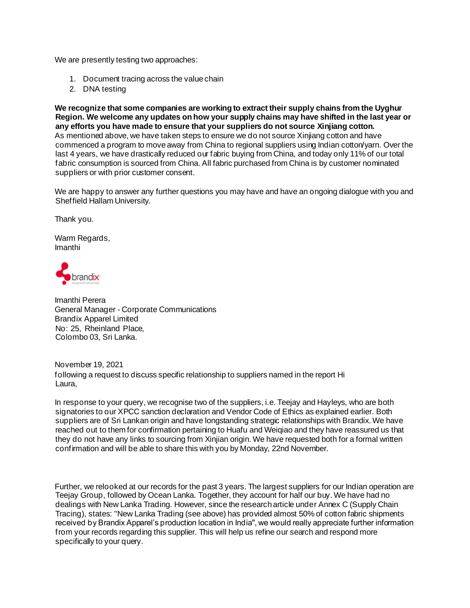We are presently testing two approaches:

- 1. Document tracing across the value chain
- 2. DNA testing

**We recognize that some companies are working to extract their supply chains from the Uyghur Region. We welcome any updates on how your supply chains may have shifted in the last year or any efforts you have made to ensure that your suppliers do not source Xinjiang cotton.**  As mentioned above, we have taken steps to ensure we do not source Xinjiang cotton and have commenced a program to move away from China to regional suppliers using Indian cotton/yarn. Over the last 4 years, we have drastically reduced our fabric buying from China, and today only 11% of our total fabric consumption is sourced from China. All fabric purchased from China is by customer nominated suppliers or with prior customer consent.

We are happy to answer any further questions you may have and have an ongoing dialogue with you and Sheffield Hallam University.

Thank you.

Warm Regards, Imanthi

brand**ix** 

Imanthi Perera General Manager - Corporate Communications Brandix Apparel Limited No: 25, Rheinland Place, Colombo 03, Sri Lanka.

November 19, 2021 following a request to discuss specific relationship to suppliers named in the report Hi Laura,

In response to your query, we recognise two of the suppliers, i.e. Teejay and Hayleys, who are both signatories to our XPCC sanction declaration and Vendor Code of Ethics as explained earlier. Both suppliers are of Sri Lankan origin and have longstanding strategic relationships with Brandix. We have reached out to them for confirmation pertaining to Huafu and Weiqiao and they have reassured us that they do not have any links to sourcing from Xinjian origin. We have requested both for a formal written confirmation and will be able to share this with you by Monday, 22nd November.

Further, we relooked at our records for the past 3 years. The largest suppliers for our Indian operation are Teejay Group, followed by Ocean Lanka. Together, they account for half our buy. We have had no dealings with New Lanka Trading. However, since the research article under Annex C (Supply Chain Tracing), states: "New Lanka Trading (see above) has provided almost 50% of cotton fabric shipments received by Brandix Apparel's production location in India", we would really appreciate further information from your records regarding this supplier. This will help us refine our search and respond more specifically to your query.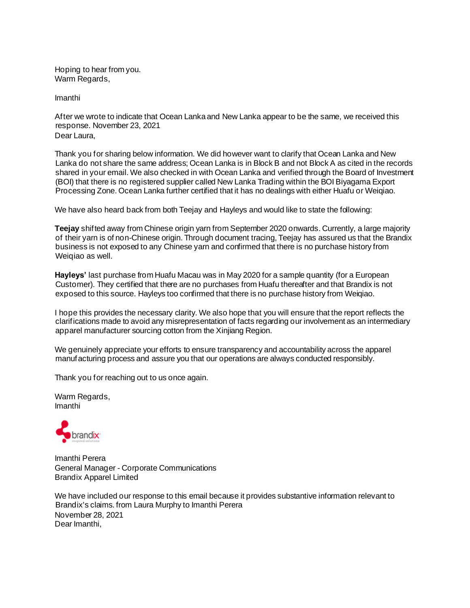Hoping to hear from you. Warm Regards,

Imanthi

After we wrote to indicate that Ocean Lanka and New Lanka appear to be the same, we received this response. November 23, 2021 Dear Laura,

Thank you for sharing below information. We did however want to clarify that Ocean Lanka and New Lanka do not share the same address; Ocean Lanka is in Block B and not Block A as cited in the records shared in your email. We also checked in with Ocean Lanka and verified through the Board of Investment (BOI) that there is no registered supplier called New Lanka Trading within the BOI Biyagama Export Processing Zone. Ocean Lanka further certified that it has no dealings with either Huafu or Weiqiao.

We have also heard back from both Teejay and Hayleys and would like to state the following:

**Teejay** shifted away from Chinese origin yarn from September 2020 onwards. Currently, a large majority of their yarn is of non-Chinese origin. Through document tracing, Teejay has assured us that the Brandix business is not exposed to any Chinese yarn and confirmed that there is no purchase history from Weiqiao as well.

**Hayleys'** last purchase from Huafu Macau was in May 2020 for a sample quantity (for a European Customer). They certified that there are no purchases from Huafu thereafter and that Brandix is not exposed to this source. Hayleys too confirmed that there is no purchase history from Weiqiao.

I hope this provides the necessary clarity. We also hope that you will ensure that the report reflects the clarifications made to avoid any misrepresentation of facts regarding our involvement as an intermediary apparel manufacturer sourcing cotton from the Xinjiang Region.

We genuinely appreciate your efforts to ensure transparency and accountability across the apparel manufacturing process and assure you that our operations are always conducted responsibly.

Thank you for reaching out to us once again.

Warm Regards, Imanthi



Imanthi Perera General Manager - Corporate Communications Brandix Apparel Limited

We have included our response to this email because it provides substantive information relevant to Brandix's claims. from Laura Murphy to Imanthi Perera November 28, 2021 Dear Imanthi,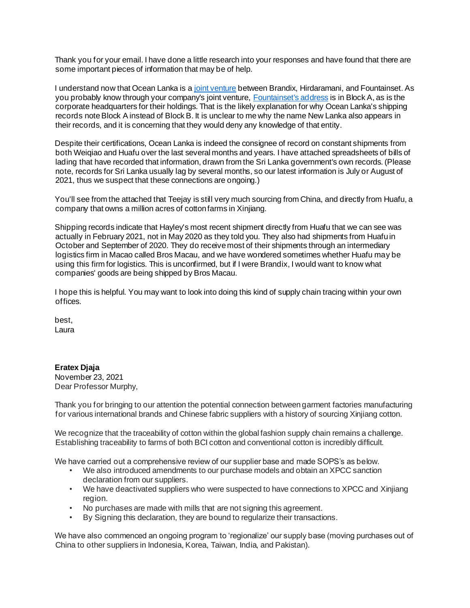Thank you for your email. I have done a little research into your responses and have found that there are some important pieces of information that may be of help.

I underst[a](https://www.oceanlanka.com/#about-us)nd now that Ocean Lanka is a [joint venture](https://www.oceanlanka.com/#about-us) between Brandix, Hirdaramani, and Fountainset. As you probably know through your company's joint ventur[e,](https://www.fshl.com/en/contact/) [Fountainset's address](https://www.fshl.com/en/contact/) is in Block A, as is the corporate headquarters for their holdings. That is the likely explanation for why Ocean Lanka's shipping records note Block A instead of Block B. It is unclear to me why the name New Lanka also appears in their records, and it is concerning that they would deny any knowledge of that entity.

Despite their certifications, Ocean Lanka is indeed the consignee of record on constant shipments from both Weiqiao and Huafu over the last several months and years. I have attached spreadsheets of bills of lading that have recorded that information, drawn from the Sri Lanka government's own records. (Please note, records for Sri Lanka usually lag by several months, so our latest information is July or August of 2021, thus we suspect that these connections are ongoing.)

You'll see from the attached that Teejay is still very much sourcing from China, and directly from Huafu, a company that owns a million acres of cotton farms in Xinjiang.

Shipping records indicate that Hayley's most recent shipment directly from Huafu that we can see was actually in February 2021, not in May 2020 as they told you. They also had shipments from Huafu in October and September of 2020. They do receive most of their shipments through an intermediary logistics firm in Macao called Bros Macau, and we have wondered sometimes whether Huafu may be using this firm for logistics. This is unconfirmed, but if I were Brandix, I would want to know what companies' goods are being shipped by Bros Macau.

I hope this is helpful. You may want to look into doing this kind of supply chain tracing within your own offices.

best, Laura

# **Eratex Djaja**

November 23, 2021 Dear Professor Murphy,

Thank you for bringing to our attention the potential connection between garment factories manufacturing for various international brands and Chinese fabric suppliers with a history of sourcing Xinjiang cotton.

We recognize that the traceability of cotton within the global fashion supply chain remains a challenge. Establishing traceability to farms of both BCI cotton and conventional cotton is incredibly difficult.

We have carried out a comprehensive review of our supplier base and made SOPS's as below.

- We also introduced amendments to our purchase models and obtain an XPCC sanction declaration from our suppliers.
- We have deactivated suppliers who were suspected to have connections to XPCC and Xinjiang region.
- No purchases are made with mills that are not signing this agreement.
- By Signing this declaration, they are bound to regularize their transactions.

We have also commenced an ongoing program to 'regionalize' our supply base (moving purchases out of China to other suppliers in Indonesia, Korea, Taiwan, India, and Pakistan).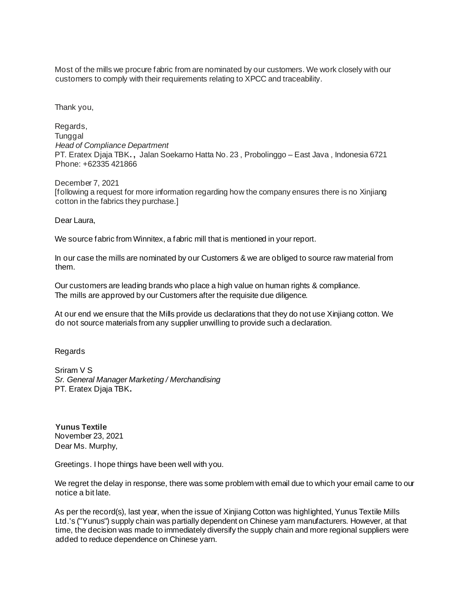Most of the mills we procure fabric from are nominated by our customers. We work closely with our customers to comply with their requirements relating to XPCC and traceability.

Thank you,

Regards, **Tunggal** *Head of Compliance Department* PT. Eratex Djaja TBK**. ,** Jalan Soekarno Hatta No. 23 , Probolinggo – East Java , Indonesia 6721 Phone: +62335 421866

December 7, 2021 [following a request for more information regarding how the company ensures there is no Xinjiang cotton in the fabrics they purchase.]

Dear Laura,

We source fabric from Winnitex, a fabric mill that is mentioned in your report.

In our case the mills are nominated by our Customers & we are obliged to source raw material from them.

Our customers are leading brands who place a high value on human rights & compliance. The mills are approved by our Customers after the requisite due diligence.

At our end we ensure that the Mills provide us declarations that they do not use Xinjiang cotton. We do not source materials from any supplier unwilling to provide such a declaration.

Regards

Sriram V S *Sr. General Manager Marketing / Merchandising* PT. Eratex Djaja TBK**.**

**Yunus Textile**  November 23, 2021 Dear Ms. Murphy,

Greetings. I hope things have been well with you.

We regret the delay in response, there was some problem with email due to which your email came to our notice a bit late.

As per the record(s), last year, when the issue of Xinjiang Cotton was highlighted, Yunus Textile Mills Ltd.'s ("Yunus") supply chain was partially dependent on Chinese yarn manufacturers. However, at that time, the decision was made to immediately diversify the supply chain and more regional suppliers were added to reduce dependence on Chinese yarn.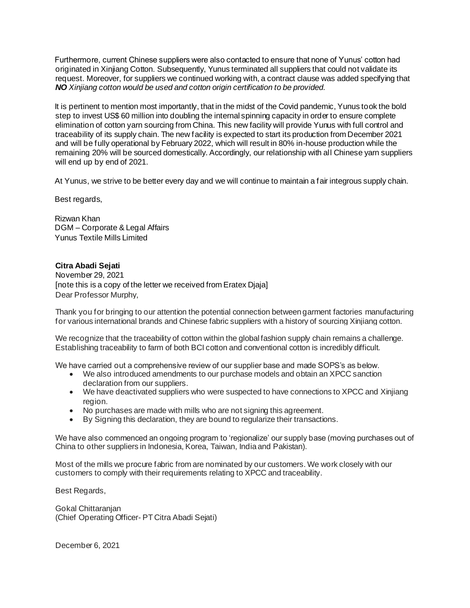Furthermore, current Chinese suppliers were also contacted to ensure that none of Yunus' cotton had originated in Xinjiang Cotton. Subsequently, Yunus terminated all suppliers that could not validate its request. Moreover, for suppliers we continued working with, a contract clause was added specifying that *NO Xinjiang cotton would be used and cotton origin certification to be provided.*

It is pertinent to mention most importantly, that in the midst of the Covid pandemic, Yunus took the bold step to invest US\$ 60 million into doubling the internal spinning capacity in order to ensure complete elimination of cotton yarn sourcing from China. This new facility will provide Yunus with full control and traceability of its supply chain. The new facility is expected to start its production from December 2021 and will be fully operational by February 2022, which will result in 80% in-house production while the remaining 20% will be sourced domestically. Accordingly, our relationship with all Chinese yarn suppliers will end up by end of 2021.

At Yunus, we strive to be better every day and we will continue to maintain a fair integrous supply chain.

Best regards,

Rizwan Khan DGM – Corporate & Legal Affairs Yunus Textile Mills Limited

# **Citra Abadi Sejati**

November 29, 2021 [note this is a copy of the letter we received from Eratex Djaja] Dear Professor Murphy,

Thank you for bringing to our attention the potential connection between garment factories manufacturing for various international brands and Chinese fabric suppliers with a history of sourcing Xinjiang cotton.

We recognize that the traceability of cotton within the global fashion supply chain remains a challenge. Establishing traceability to farm of both BCI cotton and conventional cotton is incredibly difficult.

We have carried out a comprehensive review of our supplier base and made SOPS's as below.

- We also introduced amendments to our purchase models and obtain an XPCC sanction declaration from our suppliers.
- We have deactivated suppliers who were suspected to have connections to XPCC and Xinjiang region.
- No purchases are made with mills who are not signing this agreement.
- By Signing this declaration, they are bound to regularize their transactions.

We have also commenced an ongoing program to 'regionalize' our supply base (moving purchases out of China to other suppliers in Indonesia, Korea, Taiwan, India and Pakistan).

Most of the mills we procure fabric from are nominated by our customers. We work closely with our customers to comply with their requirements relating to XPCC and traceability.

Best Regards,

Gokal Chittaranjan (Chief Operating Officer- PT Citra Abadi Sejati)

December 6, 2021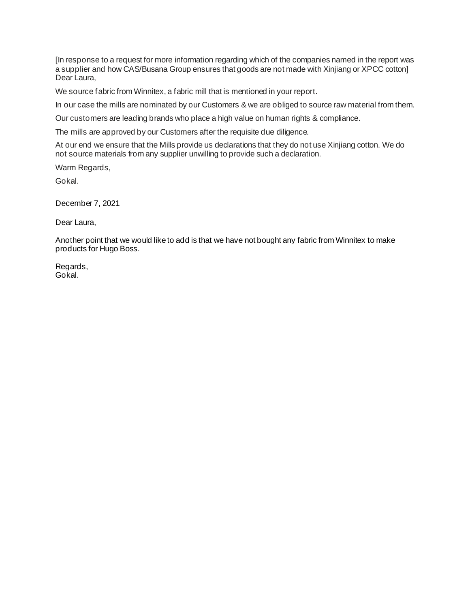[In response to a request for more information regarding which of the companies named in the report was a supplier and how CAS/Busana Group ensures that goods are not made with Xinjiang or XPCC cotton] Dear Laura,

We source fabric from Winnitex, a fabric mill that is mentioned in your report.

In our case the mills are nominated by our Customers & we are obliged to source raw material from them.

Our customers are leading brands who place a high value on human rights & compliance.

The mills are approved by our Customers after the requisite due diligence.

At our end we ensure that the Mills provide us declarations that they do not use Xinjiang cotton. We do not source materials from any supplier unwilling to provide such a declaration.

Warm Regards,

Gokal.

December 7, 2021

Dear Laura,

Another point that we would like to add is that we have not bought any fabric from Winnitex to make products for Hugo Boss.

Regards, Gokal.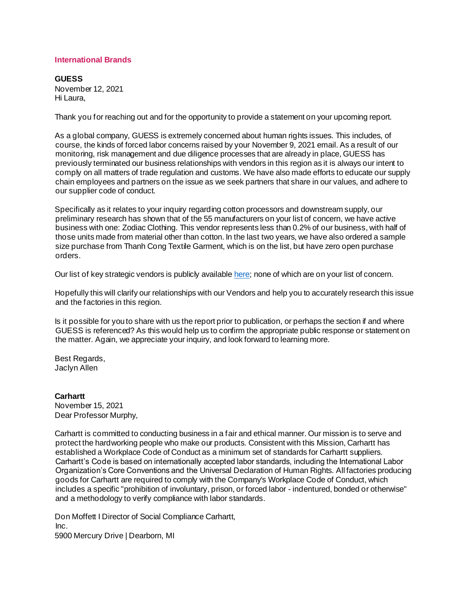#### **International Brands**

**GUESS**  November 12, 2021 Hi Laura,

Thank you for reaching out and for the opportunity to provide a statement on your upcoming report.

As a global company, GUESS is extremely concerned about human rights issues. This includes, of course, the kinds of forced labor concerns raised by your November 9, 2021 email. As a result of our monitoring, risk management and due diligence processes that are already in place, GUESS has previously terminated our business relationships with vendors in this region as it is always our intent to comply on all matters of trade regulation and customs. We have also made efforts to educate our supply chain employees and partners on the issue as we seek partners that share in our values, and adhere to our supplier code of conduct.

Specifically as it relates to your inquiry regarding cotton processors and downstream supply, our preliminary research has shown that of the 55 manufacturers on your list of concern, we have active business with one: Zodiac Clothing. This vendor represents less than 0.2% of our business, with half of those units made from material other than cotton. In the last two years, we have also ordered a sample size purchase from Thanh Cong Textile Garment, which is on the list, but have zero open purchase orders.

Our list of k[e](https://static1.squarespace.com/static/609c10ed49db5202181d673f/t/60da4fd08f8c923816d669ea/1624920016516/GUESS+Vendor+List+June+2021.pdf)y strategic vendors is publicly available [here;](https://static1.squarespace.com/static/609c10ed49db5202181d673f/t/60da4fd08f8c923816d669ea/1624920016516/GUESS+Vendor+List+June+2021.pdf) none of which are on your list of concern.

Hopefully this will clarify our relationships with our Vendors and help you to accurately research this issue and the factories in this region.

Is it possible for you to share with us the report prior to publication, or perhaps the section if and where GUESS is referenced? As this would help us to confirm the appropriate public response or statement on the matter. Again, we appreciate your inquiry, and look forward to learning more.

Best Regards, Jaclyn Allen

#### **Carhartt**

November 15, 2021 Dear Professor Murphy,

Carhartt is committed to conducting business in a fair and ethical manner. Our mission is to serve and protect the hardworking people who make our products. Consistent with this Mission, Carhartt has established a Workplace Code of Conduct as a minimum set of standards for Carhartt suppliers. Carhartt's Code is based on internationally accepted labor standards, including the International Labor Organization's Core Conventions and the Universal Declaration of Human Rights. All factories producing goods for Carhartt are required to comply with the Company's Workplace Code of Conduct, which includes a specific "prohibition of involuntary, prison, or forced labor - indentured, bonded or otherwise" and a methodology to verify compliance with labor standards.

Don Moffett I Director of Social Compliance Carhartt, Inc. 5900 Mercury Drive | Dearborn, MI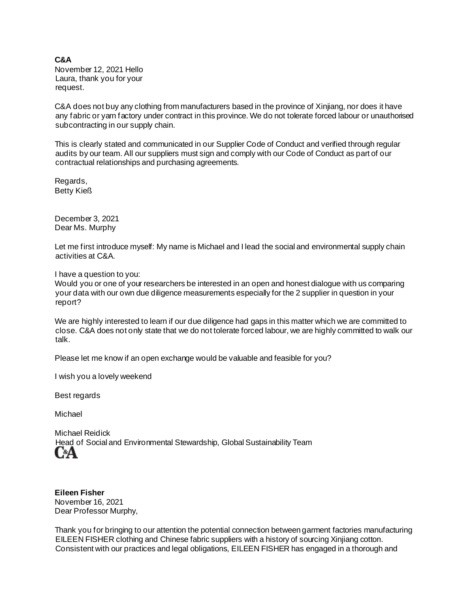#### **C&A**  November 12, 2021 Hello Laura, thank you for your request.

C&A does not buy any clothing from manufacturers based in the province of Xinjiang, nor does it have any fabric or yarn factory under contract in this province. We do not tolerate forced labour or unauthorised subcontracting in our supply chain.

This is clearly stated and communicated in our Supplier Code of Conduct and verified through regular audits by our team. All our suppliers must sign and comply with our Code of Conduct as part of our contractual relationships and purchasing agreements.

Regards, Betty Kieß

December 3, 2021 Dear Ms. Murphy

Let me first introduce myself: My name is Michael and I lead the social and environmental supply chain activities at C&A.

I have a question to you:

Would you or one of your researchers be interested in an open and honest dialogue with us comparing your data with our own due diligence measurements especially for the 2 supplier in question in your report?

We are highly interested to learn if our due diligence had gaps in this matter which we are committed to close. C&A does not only state that we do not tolerate forced labour, we are highly committed to walk our talk.

Please let me know if an open exchange would be valuable and feasible for you?

I wish you a lovely weekend

Best regards

Michael

Michael Reidick Head of Social and Environmental Stewardship, Global Sustainability Team C«A

**Eileen Fisher**  November 16, 2021 Dear Professor Murphy,

Thank you for bringing to our attention the potential connection between garment factories manufacturing EILEEN FISHER clothing and Chinese fabric suppliers with a history of sourcing Xinjiang cotton. Consistent with our practices and legal obligations, EILEEN FISHER has engaged in a thorough and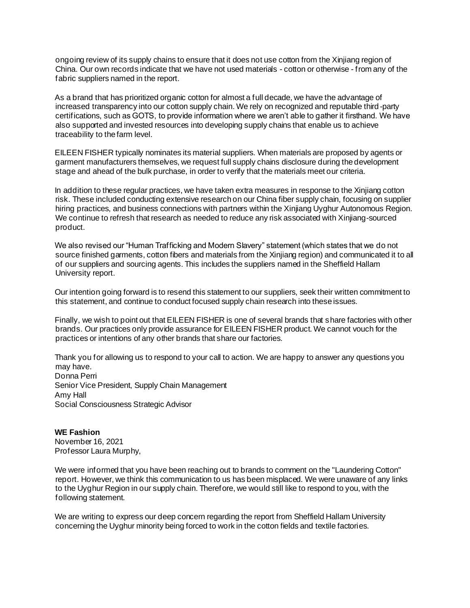ongoing review of its supply chains to ensure that it does not use cotton from the Xinjiang region of China. Our own records indicate that we have not used materials - cotton or otherwise - from any of the fabric suppliers named in the report.

As a brand that has prioritized organic cotton for almost a full decade, we have the advantage of increased transparency into our cotton supply chain. We rely on recognized and reputable third -party certifications, such as GOTS, to provide information where we aren't able to gather it firsthand. We have also supported and invested resources into developing supply chains that enable us to achieve traceability to the farm level.

EILEEN FISHER typically nominates its material suppliers. When materials are proposed by agents or garment manufacturers themselves, we request full supply chains disclosure during the development stage and ahead of the bulk purchase, in order to verify that the materials meet our criteria.

In addition to these regular practices, we have taken extra measures in response to the Xinjiang cotton risk. These included conducting extensive research on our China fiber supply chain, focusing on supplier hiring practices, and business connections with partners within the Xinjiang Uyghur Autonomous Region. We continue to refresh that research as needed to reduce any risk associated with Xinjiang-sourced product.

We also revised our "Human Trafficking and Modern Slavery" statement (which states that we do not source finished garments, cotton fibers and materials from the Xinjiang region) and communicated it to all of our suppliers and sourcing agents. This includes the suppliers named in the Sheffield Hallam University report.

Our intention going forward is to resend this statement to our suppliers, seek their written commitment to this statement, and continue to conduct focused supply chain research into these issues.

Finally, we wish to point out that EILEEN FISHER is one of several brands that share factories with other brands. Our practices only provide assurance for EILEEN FISHER product. We cannot vouch for the practices or intentions of any other brands that share our factories.

Thank you for allowing us to respond to your call to action. We are happy to answer any questions you may have. Donna Perri Senior Vice President, Supply Chain Management Amy Hall Social Consciousness Strategic Advisor

**WE Fashion** November 16, 2021 Professor Laura Murphy,

We were informed that you have been reaching out to brands to comment on the "Laundering Cotton" report. However, we think this communication to us has been misplaced. We were unaware of any links to the Uyghur Region in our supply chain. Therefore, we would still like to respond to you, with the following statement.

We are writing to express our deep concern regarding the report from Sheffield Hallam University concerning the Uyghur minority being forced to work in the cotton fields and textile factories.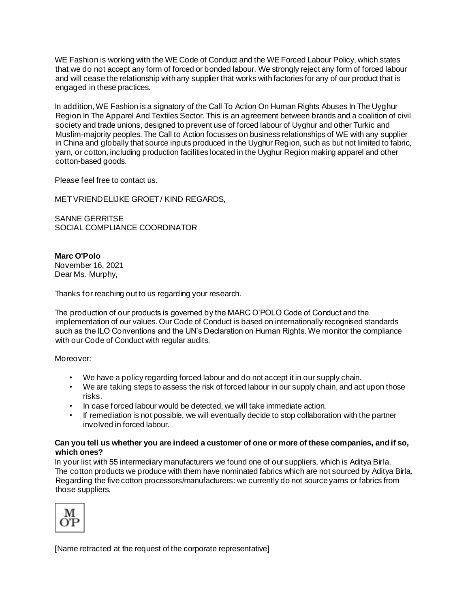WE Fashion is working with the WE Code of Conduct and the WE Forced Labour Policy, which states that we do not accept any form of forced or bonded labour. We strongly reject any form of forced labour and will cease the relationship with any supplier that works with factories for any of our product that is engaged in these practices.

In addition, WE Fashion is a signatory of the Call To Action On Human Rights Abuses In The Uyghur Region In The Apparel And Textiles Sector. This is an agreement between brands and a coalition of civil society and trade unions, designed to prevent use of forced labour of Uyghur and other Turkic and Muslim-majority peoples. The Call to Action focusses on business relationships of WE with any supplier in China and globally that source inputs produced in the Uyghur Region, such as but not limited to fabric, yarn, or cotton, including production facilities located in the Uyghur Region making apparel and other cotton-based goods.

Please feel free to contact us.

MET VRIENDELIJKE GROET / KIND REGARDS,

SANNE GERRITSE SOCIAL COMPLIANCE COORDINATOR

**Marc O'Polo**  November 16, 2021 Dear Ms. Murphy,

Thanks for reaching out to us regarding your research.

The production of our products is governed by the MARC O'POLO Code of Conduct and the implementation of our values. Our Code of Conduct is based on internationally recognised standards such as the ILO Conventions and the UN's Declaration on Human Rights. We monitor the compliance with our Code of Conduct with regular audits.

Moreover:

- We have a policy regarding forced labour and do not accept it in our supply chain.
- We are taking steps to assess the risk of forced labour in our supply chain, and act upon those risks.
- In case forced labour would be detected, we will take immediate action.
- If remediation is not possible, we will eventually decide to stop collaboration with the partner involved in forced labour.

#### **Can you tell us whether you are indeed a customer of one or more of these companies, and if so, which ones?**

In your list with 55 intermediary manufacturers we found one of our suppliers, which is Aditya Birla. The cotton products we produce with them have nominated fabrics which are not sourced by Aditya Birla. Regarding the five cotton processors/manufacturers: we currently do not source yarns or fabrics from those suppliers.



[Name retracted at the request of the corporate representative]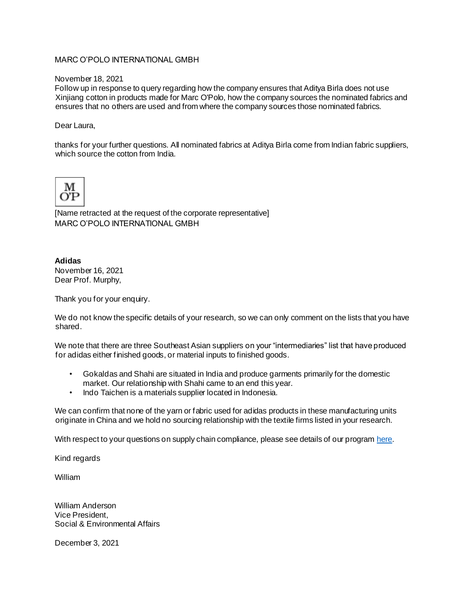# MARC O'POLO INTERNATIONAL GMBH

November 18, 2021

Follow up in response to query regarding how the company ensures that Aditya Birla does not use Xinjiang cotton in products made for Marc O'Polo, how the company sources the nominated fabrics and ensures that no others are used and from where the company sources those nominated fabrics.

Dear Laura,

thanks for your further questions. All nominated fabrics at Aditya Birla come from Indian fabric suppliers, which source the cotton from India



[Name retracted at the request of the corporate representative] MARC O'POLO INTERNATIONAL GMBH

# **Adidas**

November 16, 2021 Dear Prof. Murphy,

Thank you for your enquiry.

We do not know the specific details of your research, so we can only comment on the lists that you have shared.

We note that there are three Southeast Asian suppliers on your "intermediaries" list that have produced for adidas either finished goods, or material inputs to finished goods.

- Gokaldas and Shahi are situated in India and produce garments primarily for the domestic market. Our relationship with Shahi came to an end this year.
- Indo Taichen is a materials supplier located in Indonesia.

We can confirm that none of the yarn or fabric used for adidas products in these manufacturing units originate in China and we hold no sourcing relationship with the textile firms listed in your research.

With respect to your questions on supply chain co[m](https://www.adidas-group.com/en/sustainability/)pliance, please see details of our program [here.](https://www.adidas-group.com/en/sustainability/)

Kind regards

William

William Anderson Vice President, Social & Environmental Affairs

December 3, 2021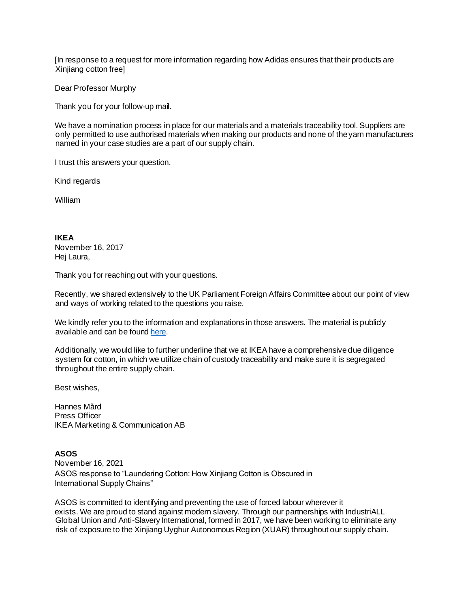[In response to a request for more information regarding how Adidas ensures that their products are Xinjiang cotton free]

Dear Professor Murphy

Thank you for your follow-up mail.

We have a nomination process in place for our materials and a materials traceability tool. Suppliers are only permitted to use authorised materials when making our products and none of the yarn manufacturers named in your case studies are a part of our supply chain.

I trust this answers your question.

Kind regards

William

**IKEA**  November 16, 2017 Hej Laura,

Thank you for reaching out with your questions.

Recently, we shared extensively to the UK Parliament Foreign Affairs Committee about our point of view and ways of working related to the questions you raise.

We kindly refer you to the information and explanations in those answers. The material is publicly available and can be foun[d](https://committees.parliament.uk/publications/4924/documents/49265/default/) [here.](https://committees.parliament.uk/publications/4924/documents/49265/default/)

Additionally, we would like to further underline that we at IKEA have a comprehensive due diligence system for cotton, in which we utilize chain of custody traceability and make sure it is segregated throughout the entire supply chain.

Best wishes,

Hannes Mård Press Officer IKEA Marketing & Communication AB

# **ASOS**

November 16, 2021 ASOS response to "Laundering Cotton: How Xinjiang Cotton is Obscured in International Supply Chains"

ASOS is committed to identifying and preventing the use of forced labour wherever it exists. We are proud to stand against modern slavery. Through our partnerships with IndustriALL Global Union and Anti-Slavery International, formed in 2017, we have been working to eliminate any risk of exposure to the Xinjiang Uyghur Autonomous Region (XUAR) throughout our supply chain.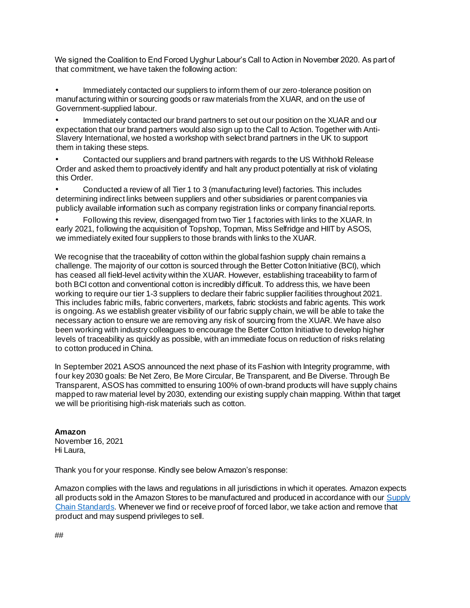We signed the Coalition to End Forced Uyghur Labour's Call to Action in November 2020. As part of that commitment, we have taken the following action:

• Immediately contacted our suppliers to inform them of our zero-tolerance position on manufacturing within or sourcing goods or raw materials from the XUAR, and on the use of Government-supplied labour.

• Immediately contacted our brand partners to set out our position on the XUAR and our expectation that our brand partners would also sign up to the Call to Action. Together with Anti-Slavery International, we hosted a workshop with select brand partners in the UK to support them in taking these steps.

• Contacted our suppliers and brand partners with regards to the US Withhold Release Order and asked them to proactively identify and halt any product potentially at risk of violating this Order.

• Conducted a review of all Tier 1 to 3 (manufacturing level) factories. This includes determining indirect links between suppliers and other subsidiaries or parent companies via publicly available information such as company registration links or company financial reports.

• Following this review, disengaged from two Tier 1 factories with links to the XUAR. In early 2021, following the acquisition of Topshop, Topman, Miss Selfridge and HIIT by ASOS, we immediately exited four suppliers to those brands with links to the XUAR.

We recognise that the traceability of cotton within the global fashion supply chain remains a challenge. The majority of our cotton is sourced through the Better Cotton Initiative (BCI), which has ceased all field-level activity within the XUAR. However, establishing traceability to farm of both BCI cotton and conventional cotton is incredibly difficult. To address this, we have been working to require our tier 1-3 suppliers to declare their fabric supplier facilities throughout 2021. This includes fabric mills, fabric converters, markets, fabric stockists and fabric agents. This work is ongoing. As we establish greater visibility of our fabric supply chain, we will be able to take the necessary action to ensure we are removing any risk of sourcing from the XUAR. We have also been working with industry colleagues to encourage the Better Cotton Initiative to develop higher levels of traceability as quickly as possible, with an immediate focus on reduction of risks relating to cotton produced in China.

In September 2021 ASOS announced the next phase of its Fashion with Integrity programme, with four key 2030 goals: Be Net Zero, Be More Circular, Be Transparent, and Be Diverse. Through Be Transparent, ASOS has committed to ensuring 100% of own-brand products will have supply chains mapped to raw material level by 2030, extending our existing supply chain mapping. Within that target we will be prioritising high-risk materials such as cotton.

**Amazon**  November 16, 2021 Hi Laura,

Thank you for your response. Kindly see below Amazon's response:

Amazon complies with the laws and regulations in all jurisdictions in which it operates. Amazon expects all products sold in the Amazon Stores to be manufactured and produced in accordance with o[ur](https://sustainability.aboutamazon.com/amazon_supply_chain_standards_english.pdf) [Supply](https://sustainability.aboutamazon.com/amazon_supply_chain_standards_english.pdf)  [Chain Standards.](https://sustainability.aboutamazon.com/amazon_supply_chain_standards_english.pdf) Whenever we find or receive proof of forced labor, we take action and remove that product and may suspend privileges to sell.

##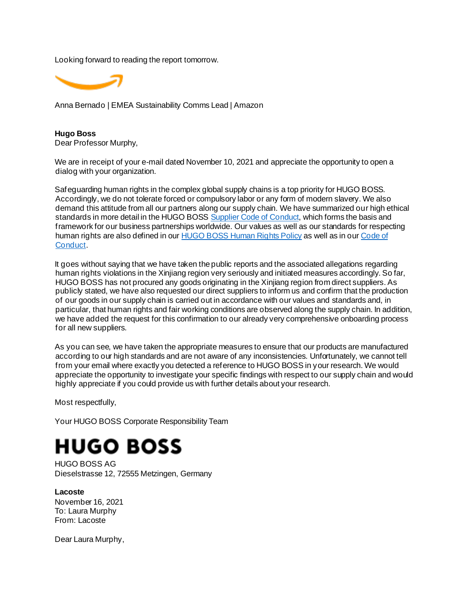Looking forward to reading the report tomorrow.



Anna Bernado | EMEA Sustainability Comms Lead | Amazon

**Hugo Boss** Dear Professor Murphy,

We are in receipt of your e-mail dated November 10, 2021 and appreciate the opportunity to open a dialog with your organization.

Safeguarding human rights in the complex global supply chains is a top priority for HUGO BOSS. Accordingly, we do not tolerate forced or compulsory labor or any form of modern slavery. We also demand this attitude from all our partners along our supply chain. We have summarized our high ethical standards in more detail in the HUGO BOS[S](https://group.hugoboss.com/fileadmin/media/pdf/sustainability/company_commitments_EN/2020_04_HUGO_BOSS_Supplier_Code_of_Conduct_EN.pdf) [Supplier Code of Conduct,](https://group.hugoboss.com/fileadmin/media/pdf/sustainability/company_commitments_EN/2020_04_HUGO_BOSS_Supplier_Code_of_Conduct_EN.pdf) which forms the basis and framework for our business partnerships worldwide. Our values as well as our standards for respecting human rights are also defined in o[ur](https://group.hugoboss.com/fileadmin/media/pdf/sustainability/company_commitments_EN/Human_Rights_Policy_EN.pdf) [HUGO BOSS Human Rights Policy](https://group.hugoboss.com/fileadmin/media/pdf/sustainability/company_commitments_EN/Human_Rights_Policy_EN.pdf) as well as in o[ur](https://group.hugoboss.com/fileadmin/media/pdf/sustainability/company_commitments_EN/BOSS_CoC_A4_EN_140423.pdf) [Code of](https://group.hugoboss.com/fileadmin/media/pdf/sustainability/company_commitments_EN/BOSS_CoC_A4_EN_140423.pdf)  [Conduct.](https://group.hugoboss.com/fileadmin/media/pdf/sustainability/company_commitments_EN/BOSS_CoC_A4_EN_140423.pdf)

It goes without saying that we have taken the public reports and the associated allegations regarding human rights violations in the Xinjiang region very seriously and initiated measures accordingly. So far, HUGO BOSS has not procured any goods originating in the Xinjiang region from direct suppliers. As publicly stated, we have also requested our direct suppliers to inform us and confirm that the production of our goods in our supply chain is carried out in accordance with our values and standards and, in particular, that human rights and fair working conditions are observed along the supply chain. In addition, we have added the request for this confirmation to our already very comprehensive onboarding process for all new suppliers.

As you can see, we have taken the appropriate measures to ensure that our products are manufactured according to our high standards and are not aware of any inconsistencies. Unfortunately, we cannot tell from your email where exactly you detected a reference to HUGO BOSS in your research. We would appreciate the opportunity to investigate your specific findings with respect to our supply chain and would highly appreciate if you could provide us with further details about your research.

Most respectfully,

Your HUGO BOSS Corporate Responsibility Team

# **HUGO BOSS**

HUGO BOSS AG Dieselstrasse 12, 72555 Metzingen, Germany

**Lacoste** November 16, 2021 To: Laura Murphy From: Lacoste

Dear Laura Murphy,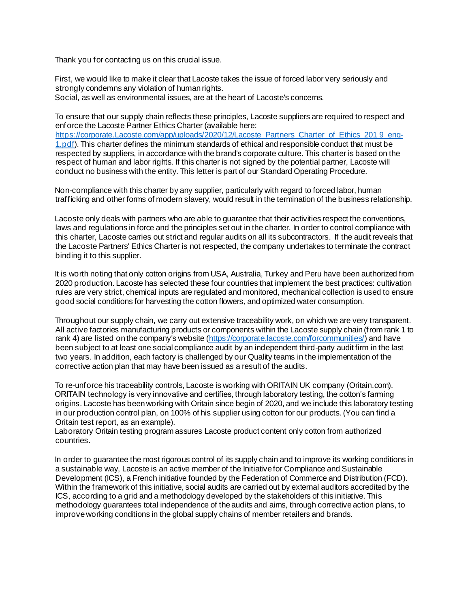Thank you for contacting us on this crucial issue.

First, we would like to make it clear that Lacoste takes the issue of forced labor very seriously and strongly condemns any violation of human rights. Social, as well as environmental issues, are at the heart of Lacoste's concerns.

To ensure that our supply chain reflects these principles, Lacoste suppliers are required to respect and enforce the Lacoste Partner Ethics Charter (available her[e:](https://nam02.safelinks.protection.outlook.com/?url=https%3A%2F%2Fcorporate.lacoste.com%2Fapp%2Fuploads%2F2020%2F12%2FLacoste_Partners_Charter_of_Ethics_2019_eng-1.pdf&data=04%7C01%7Cjuliette.bouchillou%40publicisconsultants.com%7C606c6e9fb23a44eed7fc08d9a816007e%7Cd52c9ea17c2147b182a333a74b1f74b8%7C1%7C0%7C637725634727772024%7CUnknown%7CTWFpbGZsb3d8eyJWIjoiMC4wLjAwMDAiLCJQIjoiV2luMzIiLCJBTiI6Ik1haWwiLCJXVCI6Mn0%3D%7C3000&sdata=RtbTAZDnCx6zngl%2FwbCHBToN9H%2BpL%2ByVvI2w5M7QSQY%3D&reserved=0) [https://corporate.Lacoste.com/app/uploads/2020/12/Lacoste\\_Partners\\_Charter\\_of\\_Ethics\\_201 9\\_eng-](https://nam02.safelinks.protection.outlook.com/?url=https%3A%2F%2Fcorporate.lacoste.com%2Fapp%2Fuploads%2F2020%2F12%2FLacoste_Partners_Charter_of_Ethics_2019_eng-1.pdf&data=04%7C01%7Cjuliette.bouchillou%40publicisconsultants.com%7C606c6e9fb23a44eed7fc08d9a816007e%7Cd52c9ea17c2147b182a333a74b1f74b8%7C1%7C0%7C637725634727772024%7CUnknown%7CTWFpbGZsb3d8eyJWIjoiMC4wLjAwMDAiLCJQIjoiV2luMzIiLCJBTiI6Ik1haWwiLCJXVCI6Mn0%3D%7C3000&sdata=RtbTAZDnCx6zngl%2FwbCHBToN9H%2BpL%2ByVvI2w5M7QSQY%3D&reserved=0)[1.pdf\)](https://nam02.safelinks.protection.outlook.com/?url=https%3A%2F%2Fcorporate.lacoste.com%2Fapp%2Fuploads%2F2020%2F12%2FLacoste_Partners_Charter_of_Ethics_2019_eng-1.pdf&data=04%7C01%7Cjuliette.bouchillou%40publicisconsultants.com%7C606c6e9fb23a44eed7fc08d9a816007e%7Cd52c9ea17c2147b182a333a74b1f74b8%7C1%7C0%7C637725634727772024%7CUnknown%7CTWFpbGZsb3d8eyJWIjoiMC4wLjAwMDAiLCJQIjoiV2luMzIiLCJBTiI6Ik1haWwiLCJXVCI6Mn0%3D%7C3000&sdata=RtbTAZDnCx6zngl%2FwbCHBToN9H%2BpL%2ByVvI2w5M7QSQY%3D&reserved=0). This charter defines the minimum standards of ethical and responsible conduct that must be respected by suppliers, in accordance with the brand's corporate culture. This charter is based on the respect of human and labor rights. If this charter is not signed by the potential partner, Lacoste will

conduct no business with the entity. This letter is part of our Standard Operating Procedure.

Non-compliance with this charter by any supplier, particularly with regard to forced labor, human trafficking and other forms of modern slavery, would result in the termination of the business relationship.

Lacoste only deals with partners who are able to quarantee that their activities respect the conventions, laws and regulations in force and the principles set out in the charter. In order to control compliance with this charter, Lacoste carries out strict and regular audits on all its subcontractors. If the audit reveals that the Lacoste Partners' Ethics Charter is not respected, the company undertakes to terminate the contract binding it to this supplier.

It is worth noting that only cotton origins from USA, Australia, Turkey and Peru have been authorized from 2020 production. Lacoste has selected these four countries that implement the best practices: cultivation rules are very strict, chemical inputs are regulated and monitored, mechanical collection is used to ensure good social conditions for harvesting the cotton flowers, and optimized water consumption.

Throughout our supply chain, we carry out extensive traceability work, on which we are very transparent. All active factories manufacturing products or components within the Lacoste supply chain (from rank 1 to rank 4) are listed on the company's website [\(https://corporate.lacoste.com/forcommunities/\)](https://corporate.lacoste.com/for-communities/) and have been subject to at least one social compliance audit by an independent third-party audit firm in the last two years. In addition, each factory is challenged by our Quality teams in the implementation of the corrective action plan that may have been issued as a result of the audits.

To re-unforce his traceability controls, Lacoste is working with ORITAIN UK company (Oritain.com). ORITAIN technology is very innovative and certifies, through laboratory testing, the cotton's farming origins. Lacoste has been working with Oritain since begin of 2020, and we include this laboratory testing in our production control plan, on 100% of his supplier using cotton for our products. (You can find a Oritain test report, as an example).

Laboratory Oritain testing program assures Lacoste product content only cotton from authorized countries.

In order to guarantee the most rigorous control of its supply chain and to improve its working conditions in a sustainable way, Lacoste is an active member of the Initiative for Compliance and Sustainable Development (ICS), a French initiative founded by the Federation of Commerce and Distribution (FCD). Within the framework of this initiative, social audits are carried out by external auditors accredited by the ICS, according to a grid and a methodology developed by the stakeholders of this initiative. This methodology guarantees total independence of the audits and aims, through corrective action plans, to improve working conditions in the global supply chains of member retailers and brands.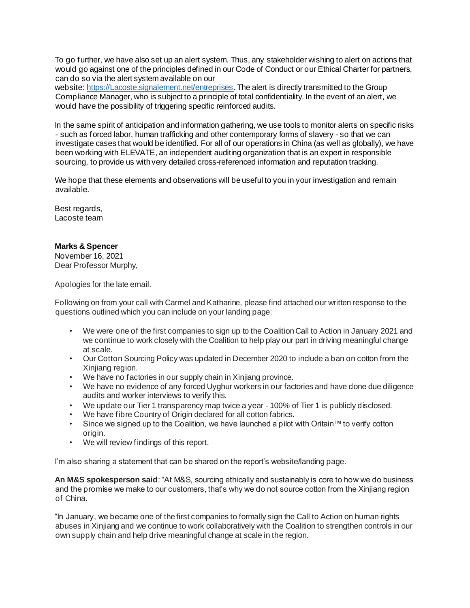To go further, we have also set up an alert system. Thus, any stakeholder wishing to alert on actions that would go against one of the principles defined in our Code of Conduct or our Ethical Charter for partners, can do so via the alert system available on our

websit[e:](https://nam02.safelinks.protection.outlook.com/?url=https%3A%2F%2Flacoste.signalement.net%2Fentreprises&data=04%7C01%7Cjuliette.bouchillou%40publicisconsultants.com%7C606c6e9fb23a44eed7fc08d9a816007e%7Cd52c9ea17c2147b182a333a74b1f74b8%7C1%7C0%7C637725634727792014%7CUnknown%7CTWFpbGZsb3d8eyJWIjoiMC4wLjAwMDAiLCJQIjoiV2luMzIiLCJBTiI6Ik1haWwiLCJXVCI6Mn0%3D%7C3000&sdata=u4x3dzUFie5HHVZqaGZ91GeTReeBzv7yQT88zxwXsrM%3D&reserved=0) [https://Lacoste.signalement.net/entreprises.](https://nam02.safelinks.protection.outlook.com/?url=https%3A%2F%2Flacoste.signalement.net%2Fentreprises&data=04%7C01%7Cjuliette.bouchillou%40publicisconsultants.com%7C606c6e9fb23a44eed7fc08d9a816007e%7Cd52c9ea17c2147b182a333a74b1f74b8%7C1%7C0%7C637725634727792014%7CUnknown%7CTWFpbGZsb3d8eyJWIjoiMC4wLjAwMDAiLCJQIjoiV2luMzIiLCJBTiI6Ik1haWwiLCJXVCI6Mn0%3D%7C3000&sdata=u4x3dzUFie5HHVZqaGZ91GeTReeBzv7yQT88zxwXsrM%3D&reserved=0) The alert is directly transmitted to the Group Compliance Manager, who is subject to a principle of total confidentiality. In the event of an alert, we would have the possibility of triggering specific reinforced audits.

In the same spirit of anticipation and information gathering, we use tools to monitor alerts on specific risks - such as forced labor, human trafficking and other contemporary forms of slavery - so that we can investigate cases that would be identified. For all of our operations in China (as well as globally), we have been working with ELEVATE, an independent auditing organization that is an expert in responsible sourcing, to provide us with very detailed cross-referenced information and reputation tracking.

We hope that these elements and observations will be useful to you in your investigation and remain available.

Best regards, Lacoste team

# **Marks & Spencer**

November 16, 2021 Dear Professor Murphy,

Apologies for the late email.

Following on from your call with Carmel and Katharine, please find attached our written response to the questions outlined which you can include on your landing page:

- We were one of the first companies to sign up to the Coalition Call to Action in January 2021 and we continue to work closely with the Coalition to help play our part in driving meaningful change at scale.
- Our Cotton Sourcing Policy was updated in December 2020 to include a ban on cotton from the Xinjiang region.
- We have no factories in our supply chain in Xinjiang province.
- We have no evidence of any forced Uyghur workers in our factories and have done due diligence audits and worker interviews to verify this.
- We update our Tier 1 transparency map twice a year 100% of Tier 1 is publicly disclosed.
- We have fibre Country of Origin declared for all cotton fabrics.
- Since we signed up to the Coalition, we have launched a pilot with Oritain™ to verify cotton origin.
- We will review findings of this report.

I'm also sharing a statement that can be shared on the report's website/landing page.

**An M&S spokesperson said**: "At M&S, sourcing ethically and sustainably is core to how we do business and the promise we make to our customers, that's why we do not source cotton from the Xinjiang region of China.

"In January, we became one of the first companies to formally sign the Call to Action on human rights abuses in Xinjiang and we continue to work collaboratively with the Coalition to strengthen controls in our own supply chain and help drive meaningful change at scale in the region.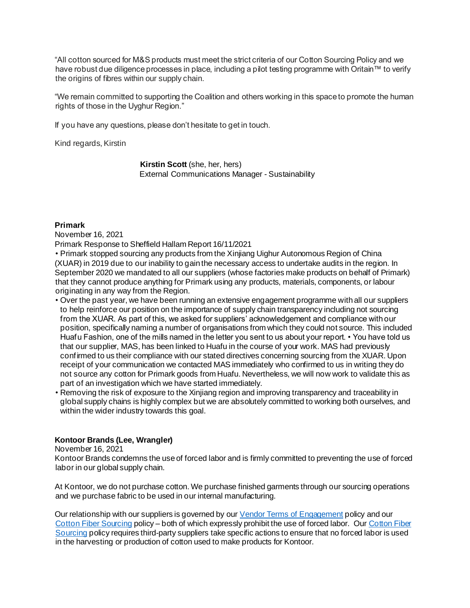"All cotton sourced for M&S products must meet the strict criteria of our Cotton Sourcing Policy and we have robust due diligence processes in place, including a pilot testing programme with Oritain™ to verify the origins of fibres within our supply chain.

"We remain committed to supporting the Coalition and others working in this space to promote the human rights of those in the Uyghur Region."

If you have any questions, please don't hesitate to get in touch.

Kind regards, Kirstin

**Kirstin Scott** (she, her, hers) External Communications Manager - Sustainability

# **Primark**

November 16, 2021

Primark Response to Sheffield Hallam Report 16/11/2021

• Primark stopped sourcing any products from the Xinjiang Uighur Autonomous Region of China (XUAR) in 2019 due to our inability to gain the necessary access to undertake audits in the region. In September 2020 we mandated to all our suppliers (whose factories make products on behalf of Primark) that they cannot produce anything for Primark using any products, materials, components, or labour originating in any way from the Region.

- Over the past year, we have been running an extensive engagement programme with all our suppliers to help reinforce our position on the importance of supply chain transparency including not sourcing from the XUAR. As part of this, we asked for suppliers' acknowledgement and compliance with our position, specifically naming a number of organisations from which they could not source. This included Huafu Fashion, one of the mills named in the letter you sent to us about your report. • You have told us that our supplier, MAS, has been linked to Huafu in the course of your work. MAS had previously confirmed to us their compliance with our stated directives concerning sourcing from the XUAR. Upon receipt of your communication we contacted MAS immediately who confirmed to us in writing they do not source any cotton for Primark goods from Huafu. Nevertheless, we will now work to validate this as part of an investigation which we have started immediately.
- Removing the risk of exposure to the Xinjiang region and improving transparency and traceability in global supply chains is highly complex but we are absolutely committed to working both ourselves, and within the wider industry towards this goal.

# **Kontoor Brands (Lee, Wrangler)**

November 16, 2021

Kontoor Brands condemns the use of forced labor and is firmly committed to preventing the use of forced labor in our global supply chain.

At Kontoor, we do not purchase cotton. We purchase finished garments through our sourcing operations and we purchase fabric to be used in our internal manufacturing.

Our relationship with our suppliers is governed by o[ur](https://nam02.safelinks.protection.outlook.com/?url=https%3A%2F%2Fd1io3yog0oux5.cloudfront.net%2Fkontoorbrands%2Ffiles%2Fpages%2Fkontoorbrands%2Fdb%2F725%2Fdescription%2FKontoor-Brands-Terms-of-Engagement-and-Global-Compliance-Principles_-_Oct_1_2021.pdf&data=04%7C01%7Cjulia.burge%40kontoorbrands.com%7C6c2aea1816114addb6fa08d9a955e26e%7C7a7c2d9979a9422293e84d200704e629%7C0%7C0%7C637727008606892986%7CUnknown%7CTWFpbGZsb3d8eyJWIjoiMC4wLjAwMDAiLCJQIjoiV2luMzIiLCJBTiI6Ik1haWwiLCJXVCI6Mn0%3D%7C3000&sdata=M7kuyurDnPF2Gb79fxlBwtRSlW5aj7LyCZVMGHXaS%2BI%3D&reserved=0) [Vendor Terms of Engagement](https://nam02.safelinks.protection.outlook.com/?url=https%3A%2F%2Fd1io3yog0oux5.cloudfront.net%2Fkontoorbrands%2Ffiles%2Fpages%2Fkontoorbrands%2Fdb%2F725%2Fdescription%2FKontoor-Brands-Terms-of-Engagement-and-Global-Compliance-Principles_-_Oct_1_2021.pdf&data=04%7C01%7Cjulia.burge%40kontoorbrands.com%7C6c2aea1816114addb6fa08d9a955e26e%7C7a7c2d9979a9422293e84d200704e629%7C0%7C0%7C637727008606892986%7CUnknown%7CTWFpbGZsb3d8eyJWIjoiMC4wLjAwMDAiLCJQIjoiV2luMzIiLCJBTiI6Ik1haWwiLCJXVCI6Mn0%3D%7C3000&sdata=M7kuyurDnPF2Gb79fxlBwtRSlW5aj7LyCZVMGHXaS%2BI%3D&reserved=0) policy and o[ur](https://nam02.safelinks.protection.outlook.com/?url=https%3A%2F%2Fd1io3yog0oux5.cloudfront.net%2Fkontoorbrands%2Ffiles%2Fpages%2Fkontoorbrands%2Fdb%2F725%2Fdescription%2FKontoor%2BBrands%2BPolicy%2Bon%2BCotton%2BFiber%2BSourcing.pdf&data=04%7C01%7Cjulia.burge%40kontoorbrands.com%7C6c2aea1816114addb6fa08d9a955e26e%7C7a7c2d9979a9422293e84d200704e629%7C0%7C0%7C637727008606902984%7CUnknown%7CTWFpbGZsb3d8eyJWIjoiMC4wLjAwMDAiLCJQIjoiV2luMzIiLCJBTiI6Ik1haWwiLCJXVCI6Mn0%3D%7C3000&sdata=qShSc0GEwFGkLT5bCFMGdrN2CRbBqa%2Bj6RP7OvjLnvo%3D&reserved=0) [Cotton Fiber Sourcing](https://nam02.safelinks.protection.outlook.com/?url=https%3A%2F%2Fd1io3yog0oux5.cloudfront.net%2Fkontoorbrands%2Ffiles%2Fpages%2Fkontoorbrands%2Fdb%2F725%2Fdescription%2FKontoor%2BBrands%2BPolicy%2Bon%2BCotton%2BFiber%2BSourcing.pdf&data=04%7C01%7Cjulia.burge%40kontoorbrands.com%7C6c2aea1816114addb6fa08d9a955e26e%7C7a7c2d9979a9422293e84d200704e629%7C0%7C0%7C637727008606902984%7CUnknown%7CTWFpbGZsb3d8eyJWIjoiMC4wLjAwMDAiLCJQIjoiV2luMzIiLCJBTiI6Ik1haWwiLCJXVCI6Mn0%3D%7C3000&sdata=qShSc0GEwFGkLT5bCFMGdrN2CRbBqa%2Bj6RP7OvjLnvo%3D&reserved=0) policy – both of which expressly prohibit the use of forced labor. O[ur](https://nam02.safelinks.protection.outlook.com/?url=https%3A%2F%2Fd1io3yog0oux5.cloudfront.net%2Fkontoorbrands%2Ffiles%2Fpages%2Fkontoorbrands%2Fdb%2F725%2Fdescription%2FKontoor%2BBrands%2BPolicy%2Bon%2BCotton%2BFiber%2BSourcing.pdf&data=04%7C01%7Cjulia.burge%40kontoorbrands.com%7C6c2aea1816114addb6fa08d9a955e26e%7C7a7c2d9979a9422293e84d200704e629%7C0%7C0%7C637727008606902984%7CUnknown%7CTWFpbGZsb3d8eyJWIjoiMC4wLjAwMDAiLCJQIjoiV2luMzIiLCJBTiI6Ik1haWwiLCJXVCI6Mn0%3D%7C3000&sdata=qShSc0GEwFGkLT5bCFMGdrN2CRbBqa%2Bj6RP7OvjLnvo%3D&reserved=0) Cotton Fiber [Sourcing](https://nam02.safelinks.protection.outlook.com/?url=https%3A%2F%2Fd1io3yog0oux5.cloudfront.net%2Fkontoorbrands%2Ffiles%2Fpages%2Fkontoorbrands%2Fdb%2F725%2Fdescription%2FKontoor%2BBrands%2BPolicy%2Bon%2BCotton%2BFiber%2BSourcing.pdf&data=04%7C01%7Cjulia.burge%40kontoorbrands.com%7C6c2aea1816114addb6fa08d9a955e26e%7C7a7c2d9979a9422293e84d200704e629%7C0%7C0%7C637727008606902984%7CUnknown%7CTWFpbGZsb3d8eyJWIjoiMC4wLjAwMDAiLCJQIjoiV2luMzIiLCJBTiI6Ik1haWwiLCJXVCI6Mn0%3D%7C3000&sdata=qShSc0GEwFGkLT5bCFMGdrN2CRbBqa%2Bj6RP7OvjLnvo%3D&reserved=0) policy requires third-party suppliers take specific actions to ensure that no forced labor is used in the harvesting or production of cotton used to make products for Kontoor.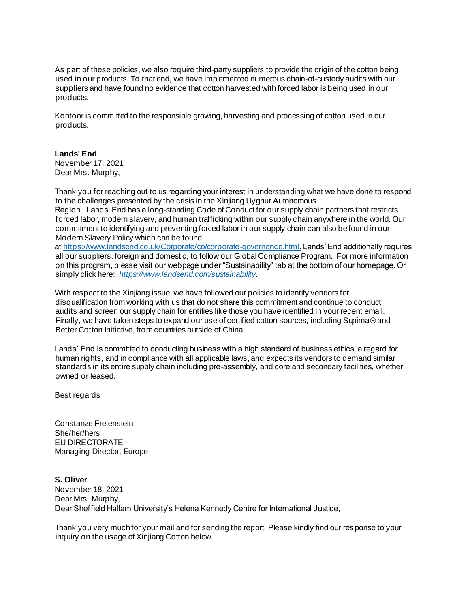As part of these policies, we also require third-party suppliers to provide the origin of the cotton being used in our products. To that end, we have implemented numerous chain-of-custody audits with our suppliers and have found no evidence that cotton harvested with forced labor is being used in our products.

Kontoor is committed to the responsible growing, harvesting and processing of cotton used in our products.

# **Lands' End**

November 17, 2021 Dear Mrs. Murphy,

Thank you for reaching out to us regarding your interest in understanding what we have done to respond to the challenges presented by the crisis in the Xinjiang Uyghur Autonomous Region. Lands' End has a long-standing Code of Conduct for our supply chain partners that restricts

forced labor, modern slavery, and human trafficking within our supply chain anywhere in the world. Our commitment to identifying and preventing forced labor in our supply chain can also be found in our Modern Slavery Policy which can be found

[at](https://www.landsend.co.uk/Corporate/co/corporate-governance.html) [https://www.landsend.co.uk/Corporate/co/corporate-governance.html.](https://www.landsend.co.uk/Corporate/co/corporate-governance.html) Lands' End additionally requires all our suppliers, foreign and domestic, to follow our Global Compliance Program. For more information on this program, please visit our webpage under "Sustainability" tab at the bottom of our homepage. Or simply click here[:](https://urldefense.proofpoint.com/v2/url?u=https-3A__www.landsend.com_sustainability&d=DwMGaQ&c=HdAUNv_EOZyljLc1cjbHCq-Eo7r1kRHoywhQbi81uaA&r=XtWMYL48yD-RDkPbI6mzOJR5wzvF3W14M69ehVeFMGE&m=E6GMxQt4QbbahAh-jBk6L_KBOmRys28sfkH1yIRK5hU&s=KxBK3J1rr3j2XDcU0qOwecpD9aC0IT8DF0i0OsxoiLY&e=) *[https://www.landsend.com/sustainability](https://urldefense.proofpoint.com/v2/url?u=https-3A__www.landsend.com_sustainability&d=DwMGaQ&c=HdAUNv_EOZyljLc1cjbHCq-Eo7r1kRHoywhQbi81uaA&r=XtWMYL48yD-RDkPbI6mzOJR5wzvF3W14M69ehVeFMGE&m=E6GMxQt4QbbahAh-jBk6L_KBOmRys28sfkH1yIRK5hU&s=KxBK3J1rr3j2XDcU0qOwecpD9aC0IT8DF0i0OsxoiLY&e=)*.

With respect to the Xinjiang issue, we have followed our policies to identify vendors for disqualification from working with us that do not share this commitment and continue to conduct audits and screen our supply chain for entities like those you have identified in your recent email. Finally, we have taken steps to expand our use of certified cotton sources, including Supima® and Better Cotton Initiative, from countries outside of China.

Lands' End is committed to conducting business with a high standard of business ethics, a regard for human rights, and in compliance with all applicable laws, and expects its vendors to demand similar standards in its entire supply chain including pre-assembly, and core and secondary facilities, whether owned or leased.

Best regards

Constanze Freienstein She/her/hers EU DIRECTORATE Managing Director, Europe

**S. Oliver**  November 18, 2021 Dear Mrs. Murphy, Dear Sheffield Hallam University's Helena Kennedy Centre for International Justice,

Thank you very much for your mail and for sending the report. Please kindly find our response to your inquiry on the usage of Xinjiang Cotton below.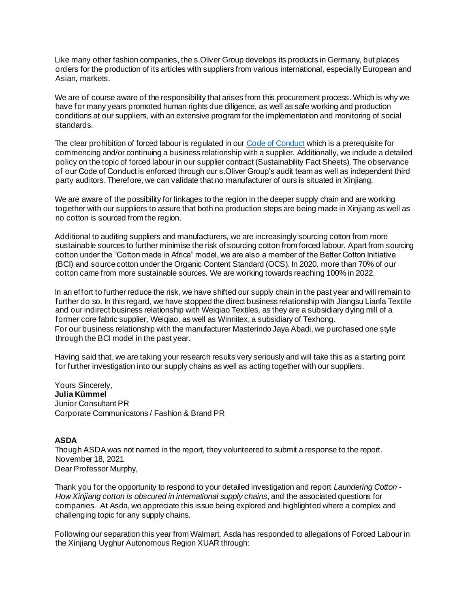Like many other fashion companies, the s.Oliver Group develops its products in Germany, but places orders for the production of its articles with suppliers from various international, especially European and Asian, markets.

We are of course aware of the responsibility that arises from this procurement process. Which is why we have for many years promoted human rights due diligence, as well as safe working and production conditions at our suppliers, with an extensive program for the implementation and monitoring of social standards.

The clear prohibition of forced labour is regulated in o[ur](https://soliver-group.com/fileadmin/pdf/verantwortung/publikationen/code-of-conduct-5-0-2019.pd) [Code of Conduct](https://soliver-group.com/fileadmin/pdf/verantwortung/publikationen/code-of-conduct-5-0-2019.pd) which is a prerequisite for commencing and/or continuing a business relationship with a supplier. Additionally, we include a detailed policy on the topic of forced labour in our supplier contract (Sustainability Fact Sheets). The observance of our Code of Conduct is enforced through our s.Oliver Group's audit team as well as independent third party auditors. Therefore, we can validate that no manufacturer of ours is situated in Xinjiang.

We are aware of the possibility for linkages to the region in the deeper supply chain and are working together with our suppliers to assure that both no production steps are being made in Xinjiang as well as no cotton is sourced from the region.

Additional to auditing suppliers and manufacturers, we are increasingly sourcing cotton from more sustainable sources to further minimise the risk of sourcing cotton from forced labour. Apart from sourcing cotton under the "Cotton made in Africa" model, we are also a member of the Better Cotton Initiative (BCI) and source cotton under the Organic Content Standard (OCS). In 2020, more than 70% of our cotton came from more sustainable sources. We are working towards reaching 100% in 2022.

In an effort to further reduce the risk, we have shifted our supply chain in the past year and will remain to further do so. In this regard, we have stopped the direct business relationship with Jiangsu Lianfa Textile and our indirect business relationship with Weiqiao Textiles, as they are a subsidiary dying mill of a former core fabric supplier, Weiqiao, as well as Winnitex, a subsidiary of Texhong. For our business relationship with the manufacturer Masterindo Jaya Abadi, we purchased one style through the BCI model in the past year.

Having said that, we are taking your research results very seriously and will take this as a starting point for further investigation into our supply chains as well as acting together with our suppliers.

Yours Sincerely, **Julia Kümmel** Junior Consultant PR Corporate Communicatons / Fashion & Brand PR

#### **ASDA**

Though ASDA was not named in the report, they volunteered to submit a response to the report. November 18, 2021 Dear Professor Murphy,

Thank you for the opportunity to respond to your detailed investigation and report *Laundering Cotton - How Xinjiang cotton is obscured in international supply chains*, and the associated questions for companies. At Asda, we appreciate this issue being explored and highlighted where a complex and challenging topic for any supply chains.

Following our separation this year from Walmart, Asda has responded to allegations of Forced Labour in the Xinjiang Uyghur Autonomous Region XUAR through: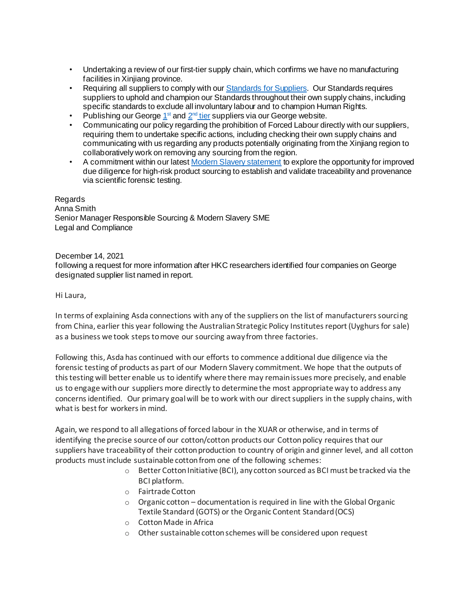- Undertaking a review of our first-tier supply chain, which confirms we have no manufacturing facilities in Xiniiang province.
- Requiring all suppliers to comply with o[ur](https://asdasupplier.com/responsible-sourcing-supplier-standards) [Standards for Suppliers.](https://asdasupplier.com/responsible-sourcing-supplier-standards) Our Standards requires suppliers to uphold and champion our Standards throughout their own supply chains, including specific standards to exclude all involuntary labour and to champion Human Rights.
- Publishing our G[e](https://direct.asda.com/on/demandware.static/-/Library-Sites-ASDAShared/default/v4fd87320d2e43007be720db54c2a76656657b46d/sourcebygeorge-DEP/documents/FactoryList-Tier1-v2.pdf?version=1,579,647,913,000?cm_sp=Desktop-_-georgeforgood-_-George-_-factorylisttier1-_-200323link01sustainable)orge  $1<sup>st</sup>$  $1<sup>st</sup>$  $1<sup>st</sup>$  $1<sup>st</sup>$  an[d](https://direct.asda.com/on/demandware.static/-/Library-Sites-ASDAShared/default/v4fd87320d2e43007be720db54c2a76656657b46d/sourcebygeorge-DEP/documents/FactoryList-Tier2-v2.pdf?version=1,579,647,913,000?cm_sp=Desktop-_-georgeforgood-_-George-_-factorylisttier2-_-200323link01sustainable)  $2<sup>nd</sup>$  $2<sup>nd</sup>$  $2<sup>nd</sup>$  $2<sup>nd</sup>$  [tier](https://direct.asda.com/on/demandware.static/-/Library-Sites-ASDAShared/default/v4fd87320d2e43007be720db54c2a76656657b46d/sourcebygeorge-DEP/documents/FactoryList-Tier2-v2.pdf?version=1,579,647,913,000?cm_sp=Desktop-_-georgeforgood-_-George-_-factorylisttier2-_-200323link01sustainable) suppliers via our George website.
- Communicating our policy regarding the prohibition of Forced Labour directly with our suppliers, requiring them to undertake specific actions, including checking their own supply chains and communicating with us regarding any products potentially originating from the Xinjiang region to collaboratively work on removing any sourcing from the region.
- A commitment within our late[st](https://corporate.asda.com/article/modern-slavery-statement) [Modern Slavery statement](https://corporate.asda.com/article/modern-slavery-statement) to explore the opportunity for improved due diligence for high-risk product sourcing to establish and validate traceability and provenance via scientific forensic testing.

Regards Anna Smith Senior Manager Responsible Sourcing & Modern Slavery SME Legal and Compliance

December 14, 2021

following a request for more information after HKC researchers identified four companies on George designated supplier list named in report.

Hi Laura,

In terms of explaining Asda connections with any of the suppliers on the list of manufacturers sourcing from China, earlier this year following the Australian Strategic Policy Institutes report (Uyghurs for sale) as a business we took steps to move our sourcing away from three factories.

Following this, Asda has continued with our efforts to commence additional due diligence via the forensic testing of products as part of our Modern Slavery commitment. We hope that the outputs of this testing will better enable us to identify where there may remain issues more precisely, and enable us to engage with our suppliers more directly to determine the most appropriate way to address any concerns identified. Our primary goal will be to work with our direct suppliers in the supply chains, with what is best for workers in mind.

Again, we respond to all allegations of forced labour in the XUAR or otherwise, and in terms of identifying the precise source of our cotton/cotton products our Cotton policy requires that our suppliers have traceability of their cotton production to country of origin and ginner level, and all cotton products must include sustainable cotton from one of the following schemes:

- $\circ$  Better Cotton Initiative (BCI), any cotton sourced as BCI must be tracked via the BCI platform.
- o Fairtrade Cotton
- $\circ$  Organic cotton documentation is required in line with the Global Organic Textile Standard (GOTS) or the Organic Content Standard (OCS)
- o Cotton Made in Africa
- o Other sustainable cotton schemes will be considered upon request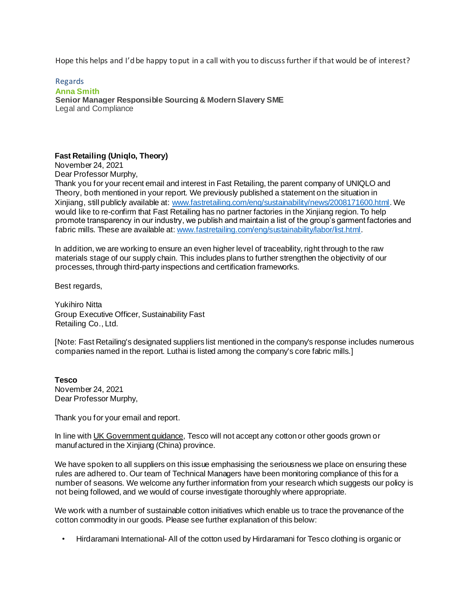Hope this helps and I'd be happy to put in a call with you to discuss further if that would be of interest?

Regards **Anna Smith Senior Manager Responsible Sourcing & Modern Slavery SME** Legal and Compliance

# **Fast Retailing (Uniqlo, Theory)**

November 24, 2021 Dear Professor Murphy,

Thank you for your recent email and interest in Fast Retailing, the parent company of UNIQLO and Theory, both mentioned in your report. We previously published a statement on the situation in Xinjiang, still publicly available a[t:](http://www.fastretailing.com/eng/sustainability/news/2008171600.html) [www.fastretailing.com/eng/sustainability/news/2008171600.html.](http://www.fastretailing.com/eng/sustainability/news/2008171600.html) We would like to re-confirm that Fast Retailing has no partner factories in the Xinjiang region. To help promote transparency in our industry, we publish and maintain a list of the group's garment factories and fabric mills. These are available a[t:](http://www.fastretailing.com/eng/sustainability/labor/list.html) [www.fastretailing.com/eng/sustainability/labor/list.html.](http://www.fastretailing.com/eng/sustainability/labor/list.html)

In addition, we are working to ensure an even higher level of traceability, right through to the raw materials stage of our supply chain. This includes plans to further strengthen the objectivity of our processes, through third-party inspections and certification frameworks.

Best regards,

Yukihiro Nitta Group Executive Officer, Sustainability Fast Retailing Co., Ltd.

[Note: Fast Retailing's designated suppliers list mentioned in the company's response includes numerous companies named in the report. Luthai is listed among the company's core fabric mills.]

**Tesco**  November 24, 2021 Dear Professor Murphy,

Thank you for your email and report.

In line wit[h](https://www.gov.uk/government/news/uk-government-announces-business-measures-over-xinjiang-human-rights-abuses) [UK](https://www.gov.uk/government/news/uk-government-announces-business-measures-over-xinjiang-human-rights-abuses) [Government](https://www.gov.uk/government/news/uk-government-announces-business-measures-over-xinjiang-human-rights-abuses) [guidance,](https://www.gov.uk/government/news/uk-government-announces-business-measures-over-xinjiang-human-rights-abuses) Tesco will not accept any cotton or other goods grown or manufactured in the Xinjiang (China) province.

We have spoken to all suppliers on this issue emphasising the seriousness we place on ensuring these rules are adhered to. Our team of Technical Managers have been monitoring compliance of this for a number of seasons. We welcome any further information from your research which suggests our policy is not being followed, and we would of course investigate thoroughly where appropriate.

We work with a number of sustainable cotton initiatives which enable us to trace the provenance of the cotton commodity in our goods. Please see further explanation of this below:

• Hirdaramani International- All of the cotton used by Hirdaramani for Tesco clothing is organic or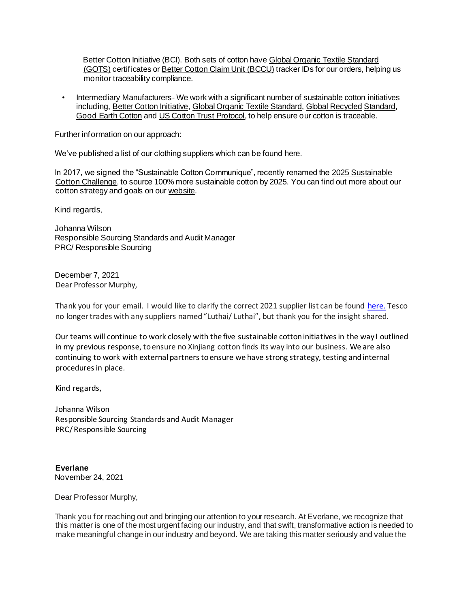Better Cotton Initiative (BCI). Both sets of cotton hav[e](https://global-standard.org/) [Global](https://global-standard.org/) [Organic](https://global-standard.org/) [Textile](https://global-standard.org/) [Standard](https://global-standard.org/) [\(GOTS\)](https://global-standard.org/) [ce](https://global-standard.org/)rtificates [or](https://bettercotton.org/) [Better](https://bettercotton.org/) [Cotton](https://bettercotton.org/) [Claim](https://bettercotton.org/) [Unit](https://bettercotton.org/) [\(BCCU\)](https://bettercotton.org/) tracker IDs for our orders, helping us monitor traceability compliance.

• Intermediary Manufacturers- We work with a significant number of sustainable cotton initiatives includin[g,](https://bettercotton.org/) [Better](https://bettercotton.org/) [Cotton](https://bettercotton.org/) [Initiative](https://bettercotton.org/)[,](https://global-standard.org/) [Global](https://global-standard.org/) [Organic](https://global-standard.org/) [Textile](https://global-standard.org/) [Standard](https://global-standard.org/)[,](https://textileexchange.org/standards/recycled-claim-standard-global-recycled-standard/) [Global](https://textileexchange.org/standards/recycled-claim-standard-global-recycled-standard/) [Recycled](https://textileexchange.org/standards/recycled-claim-standard-global-recycled-standard/) [Standard](https://textileexchange.org/standards/recycled-claim-standard-global-recycled-standard/)[,](https://www.goodearthcotton.com/) [Good](https://www.goodearthcotton.com/) [Earth](https://www.goodearthcotton.com/) [Cotton](https://www.goodearthcotton.com/) an[d](https://trustuscotton.org/) [US](https://trustuscotton.org/) [Cotton](https://trustuscotton.org/) [Trust](https://trustuscotton.org/) [Protocol,](https://trustuscotton.org/) to help ensure our cotton is traceable.

Further information on our approach:

We've published a list of our clothing suppliers which can be foun[d](https://www.tescoplc.com/media/474607/ff-factories-2018-final.pdf) [here.](https://www.tescoplc.com/media/474607/ff-factories-2018-final.pdf)

In 2017, we signed the "Sustainable Cotton Communique", recently renamed th[e](https://textileexchange.org/2025-sustainable-cotton-challenge/) [2025](https://textileexchange.org/2025-sustainable-cotton-challenge/) [Sustainable](https://textileexchange.org/2025-sustainable-cotton-challenge/) [Cotton](https://textileexchange.org/2025-sustainable-cotton-challenge/) [Challenge,](https://textileexchange.org/2025-sustainable-cotton-challenge/) to source 100% more sustainable cotton by 2025. You can find out more about our cotton strategy and goals on o[ur](https://www.tescoplc.com/sustainability/taking-action/environment/ff-sustainable-fabrics/) [website.](https://www.tescoplc.com/sustainability/taking-action/environment/ff-sustainable-fabrics/)

Kind regards,

Johanna Wilson Responsible Sourcing Standards and Audit Manager PRC/ Responsible Sourcing

December 7, 2021 Dear Professor Murphy,

Thank you for your email. I would like to clarify the correct 2021 supplier list can be found [here.](https://www.tescoplc.com/media/757641/apparel-factories-supplying-tesco-ff-may-2021.pdf) Tesco no longertrades with any suppliers named"Luthai/ Luthai", but thank you for the insight shared.

Our teams will continue to work closely with the five sustainable cottoninitiativesin the way I outlined in my previous response, to ensure no Xinjiang cotton finds its way into our business. We are also continuing to work with external partners to ensure we have strong strategy, testing and internal procedures in place.

Kind regards,

Johanna Wilson Responsible Sourcing Standards and Audit Manager PRC/Responsible Sourcing

**Everlane** November 24, 2021

Dear Professor Murphy,

Thank you for reaching out and bringing our attention to your research. At Everlane, we recognize that this matter is one of the most urgent facing our industry, and that swift, transformative action is needed to make meaningful change in our industry and beyond. We are taking this matter seriously and value the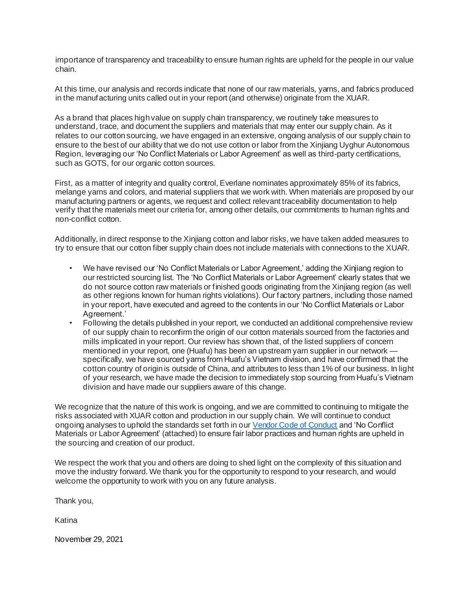importance of transparency and traceability to ensure human rights are upheld for the people in our value chain.

At this time, our analysis and records indicate that none of our raw materials, yarns, and fabrics produced in the manufacturing units called out in your report (and otherwise) originate from the XUAR.

As a brand that places high value on supply chain transparency, we routinely take measures to understand, trace, and document the suppliers and materials that may enter our supply chain. As it relates to our cotton sourcing, we have engaged in an extensive, ongoing analysis of our supply chain to ensure to the best of our ability that we do not use cotton or labor from the Xinjiang Uyghur Autonomous Region, leveraging our 'No Conflict Materials or Labor Agreement' as well as third-party certifications, such as GOTS, for our organic cotton sources.

First, as a matter of integrity and quality control, Everlane nominates approximately 85% of its fabrics, melange yarns and colors, and material suppliers that we work with. When materials are proposed by our manufacturing partners or agents, we request and collect relevant traceability documentation to help verify that the materials meet our criteria for, among other details, our commitments to human rights and non-conflict cotton.

Additionally, in direct response to the Xinjiang cotton and labor risks, we have taken added measures to try to ensure that our cotton fiber supply chain does not include materials with connections to the XUAR.

- We have revised our 'No Conflict Materials or Labor Agreement,' adding the Xinjiang region to our restricted sourcing list. The 'No Conflict Materials or Labor Agreement' clearly states that we do not source cotton raw materials or finished goods originating from the Xinjiang region (as well as other regions known for human rights violations). Our factory partners, including those named in your report, have executed and agreed to the contents in our 'No Conflict Materials or Labor Agreement.'
- Following the details published in your report, we conducted an additional comprehensive review of our supply chain to reconfirm the origin of our cotton materials sourced from the factories and mills implicated in your report. Our review has shown that, of the listed suppliers of concern mentioned in your report, one (Huafu) has been an upstream yarn supplier in our network specifically, we have sourced yarns from Huafu's Vietnam division, and have confirmed that the cotton country of origin is outside of China, and attributes to less than 1% of our business. In light of your research, we have made the decision to immediately stop sourcing from Huafu's Vietnam division and have made our suppliers aware of this change.

We recognize that the nature of this work is ongoing, and we are committed to continuing to mitigate the risks associated with XUAR cotton and production in our supply chain. We will continue to conduct ongoing analyses to uphold the standards set forth in ou[r Vendor Code of Conduct](https://www.everlane.com/vendor-code) and 'No Conflict Materials or Labor Agreement' (attached) to ensure fair labor practices and human rights are upheld in the sourcing and creation of our product.

We respect the work that you and others are doing to shed light on the complexity of this situation and move the industry forward. We thank you for the opportunity to respond to your research, and would welcome the opportunity to work with you on any future analysis.

Thank you,

Katina

November 29, 2021